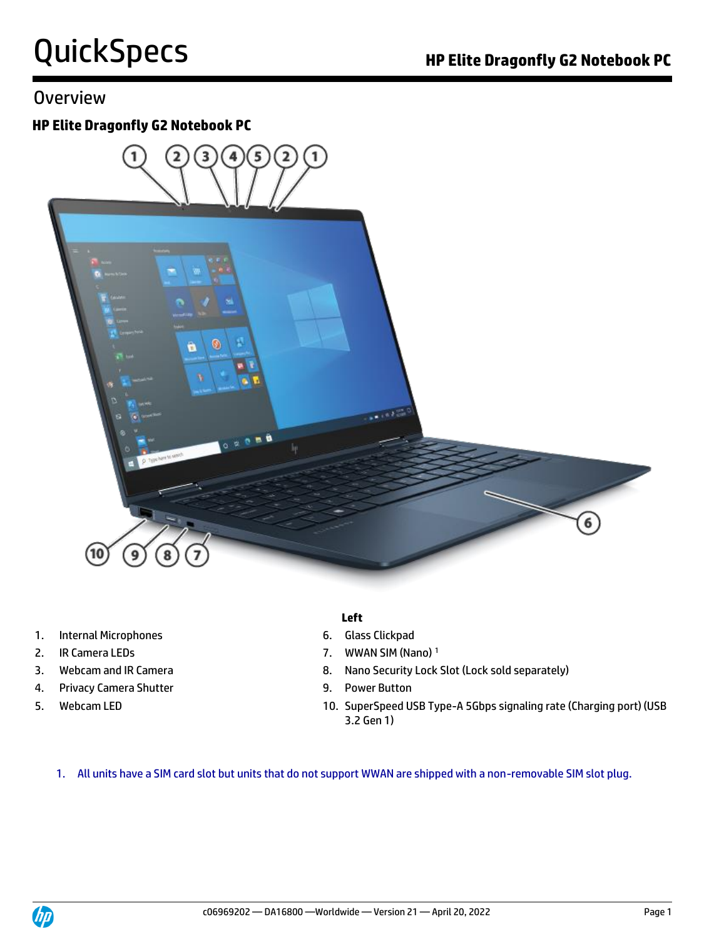### **Overview**

#### **HP Elite Dragonfly G2 Notebook PC**



- 1. Internal Microphones 6. Glass Clickpad
- 
- 
- 4. Privacy Camera Shutter 9. Power Button
- 
- **Left**
- 
- 2. IR Camera LEDs 2. IR Camera LEDS
- 3. Webcam and IR Camera **8. Nano Security Lock Slot (Lock sold separately)** 
	-
- 5. Webcam LED 10. SuperSpeed USB Type-A 5Gbps signaling rate (Charging port) (USB 3.2 Gen 1)

1. All units have a SIM card slot but units that do not support WWAN are shipped with a non-removable SIM slot plug.

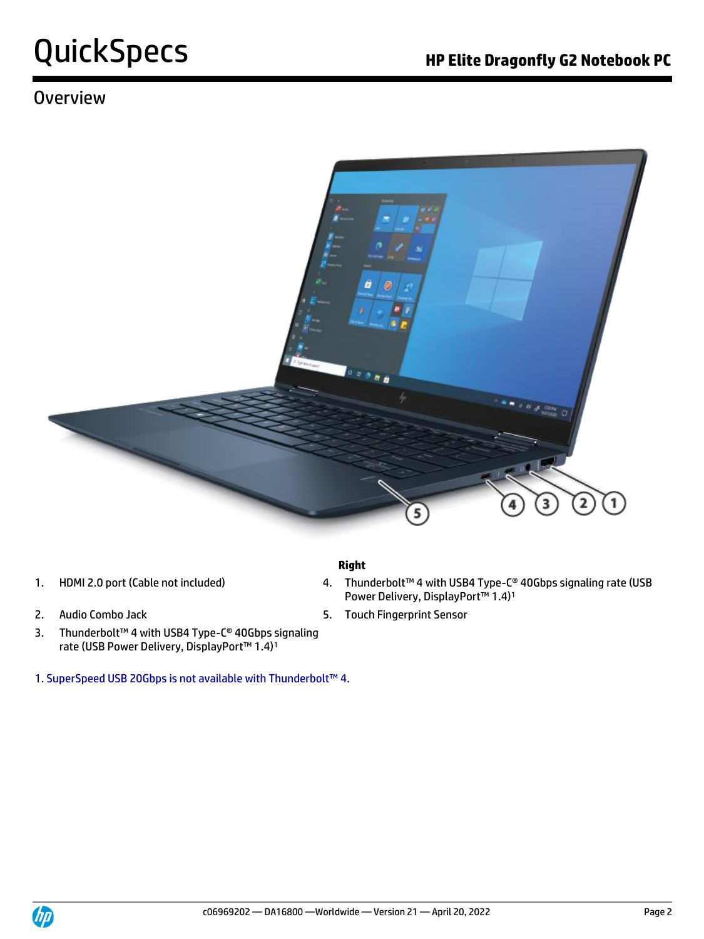### **Overview**



#### **Right**

- 
- 
- 3. Thunderbolt™ 4 with USB4 Type-C® 40Gbps signaling rate (USB Power Delivery, DisplayPort™ 1.4)<sup>1</sup>
- 1. SuperSpeed USB 20Gbps is not available with Thunderbolt™ 4.
- 1. HDMI 2.0 port (Cable not included) 4. Thunderbolt™ 4 with USB4 Type-C® 40Gbps signaling rate (USB Power Delivery, DisplayPort™ 1.4)<sup>1</sup>
- 2. Audio Combo Jack 6. Touch Fingerprint Sensor

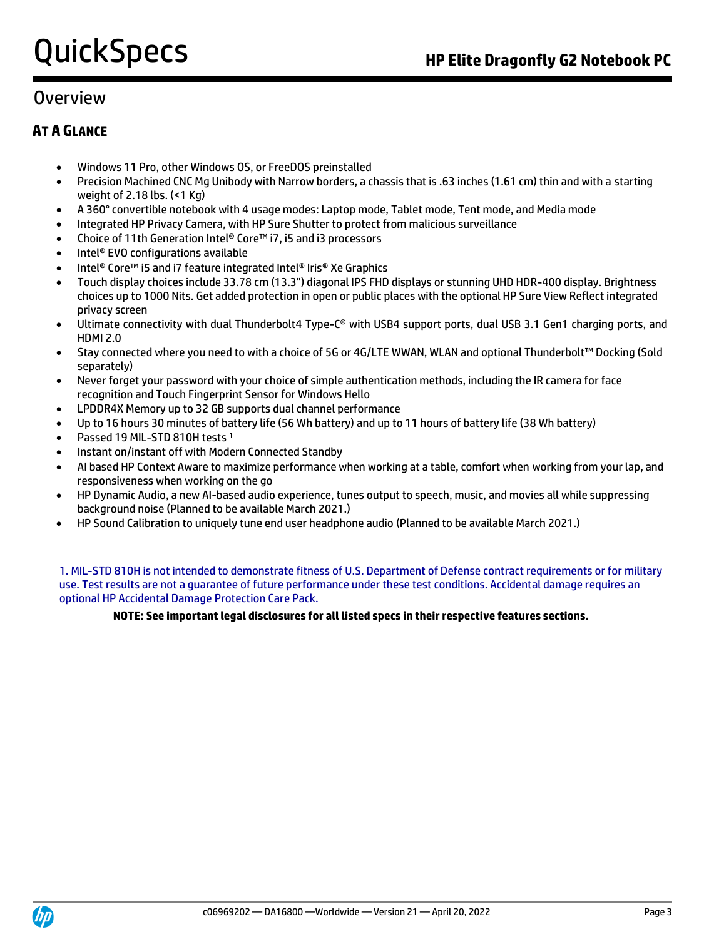### Overview

#### **AT A GLANCE**

- Windows 11 Pro, other Windows OS, or FreeDOS preinstalled
- Precision Machined CNC Mg Unibody with Narrow borders, a chassis that is .63 inches (1.61 cm) thin and with a starting weight of 2.18 lbs. (<1 Kg)
- A 360° convertible notebook with 4 usage modes: Laptop mode, Tablet mode, Tent mode, and Media mode
- Integrated HP Privacy Camera, with HP Sure Shutter to protect from malicious surveillance
- Choice of 11th Generation Intel® Core™ i7, i5 and i3 processors
- Intel® EVO configurations available
- Intel® Core™ i5 and i7 feature integrated Intel® Iris® Xe Graphics
- Touch display choices include 33.78 cm (13.3") diagonal IPS FHD displays or stunning UHD HDR-400 display. Brightness choices up to 1000 Nits. Get added protection in open or public places with the optional HP Sure View Reflect integrated privacy screen
- Ultimate connectivity with dual Thunderbolt4 Type-C® with USB4 support ports, dual USB 3.1 Gen1 charging ports, and HDMI 2.0
- Stay connected where you need to with a choice of 5G or 4G/LTE WWAN, WLAN and optional Thunderbolt™ Docking (Sold separately)
- Never forget your password with your choice of simple authentication methods, including the IR camera for face recognition and Touch Fingerprint Sensor for Windows Hello
- LPDDR4X Memory up to 32 GB supports dual channel performance
- Up to 16 hours 30 minutes of battery life (56 Wh battery) and up to 11 hours of battery life (38 Wh battery)
- Passed 19 MIL-STD 810H tests <sup>1</sup>
- Instant on/instant off with Modern Connected Standby
- AI based HP Context Aware to maximize performance when working at a table, comfort when working from your lap, and responsiveness when working on the go
- HP Dynamic Audio, a new AI-based audio experience, tunes output to speech, music, and movies all while suppressing background noise (Planned to be available March 2021.)
- HP Sound Calibration to uniquely tune end user headphone audio (Planned to be available March 2021.)

1. MIL-STD 810H is not intended to demonstrate fitness of U.S. Department of Defense contract requirements or for military use. Test results are not a guarantee of future performance under these test conditions. Accidental damage requires an optional HP Accidental Damage Protection Care Pack.

#### **NOTE: See important legal disclosures for all listed specs in their respective features sections.**

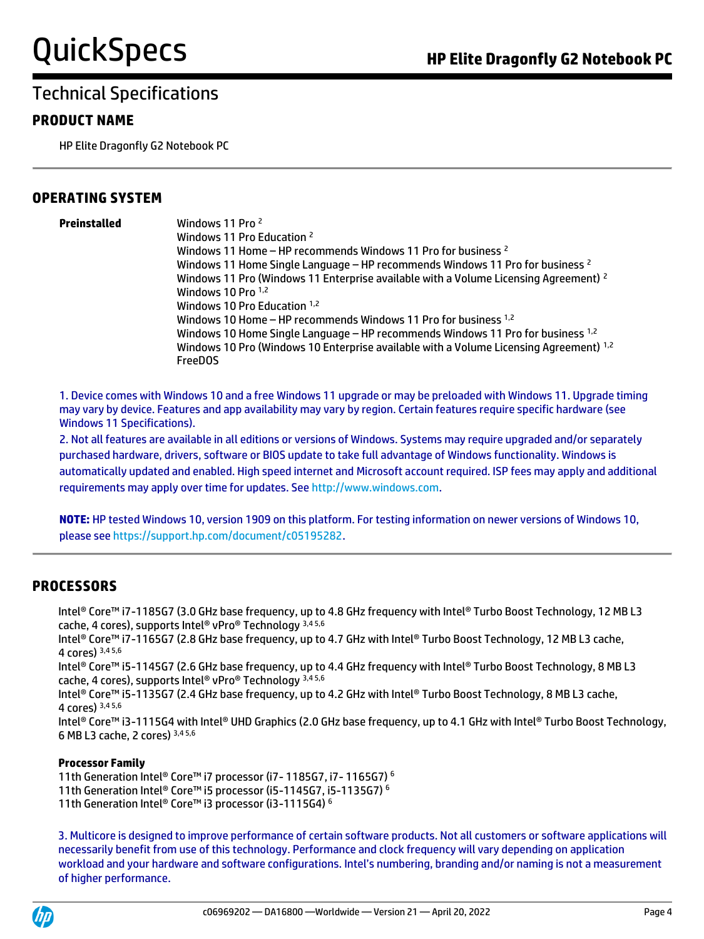#### **PRODUCT NAME**

HP Elite Dragonfly G2 Notebook PC

#### **OPERATING SYSTEM**

**Preinstalled** Windows 11 Pro <sup>2</sup> Windows 11 Pro Education <sup>2</sup> Windows 11 Home – HP recommends Windows 11 Pro for business <sup>2</sup> Windows 11 Home Single Language – HP recommends Windows 11 Pro for business <sup>2</sup> Windows 11 Pro (Windows 11 Enterprise available with a Volume Licensing Agreement) <sup>2</sup> Windows 10 Pro 1,2 Windows 10 Pro Education 1,2 Windows 10 Home – HP recommends Windows 11 Pro for business 1,2 Windows 10 Home Single Language – HP recommends Windows 11 Pro for business 1,2 Windows 10 Pro (Windows 10 Enterprise available with a Volume Licensing Agreement) 1,2 FreeDOS

1. Device comes with Windows 10 and a free Windows 11 upgrade or may be preloaded with Windows 11. Upgrade timing may vary by device. Features and app availability may vary by region. Certain features require specific hardware (see Windows 11 Specifications).

2. Not all features are available in all editions or versions of Windows. Systems may require upgraded and/or separately purchased hardware, drivers, software or BIOS update to take full advantage of Windows functionality. Windows is automatically updated and enabled. High speed internet and Microsoft account required. ISP fees may apply and additional requirements may apply over time for updates. See [http://www.windows.com.](http://www.windows.com/)

**NOTE:** HP tested Windows 10, version 1909 on this platform. For testing information on newer versions of Windows 10, please se[e https://support.hp.com/document/c05195282.](https://support.hp.com/document/c05195282)

#### **PROCESSORS**

Intel® Core™ i7-1185G7 (3.0 GHz base frequency, up to 4.8 GHz frequency with Intel® Turbo Boost Technology, 12 MB L3 cache, 4 cores), supports Intel® vPro® Technology 3,4 5,6

Intel® Core™ i7-1165G7 (2.8 GHz base frequency, up to 4.7 GHz with Intel® Turbo Boost Technology, 12 MB L3 cache, 4 cores) 3,4 5,6

Intel® Core™ i5-1145G7 (2.6 GHz base frequency, up to 4.4 GHz frequency with Intel® Turbo Boost Technology, 8 MB L3 cache, 4 cores), supports Intel® vPro® Technology 3,4 5,6

Intel® Core™ i5-1135G7 (2.4 GHz base frequency, up to 4.2 GHz with Intel® Turbo Boost Technology, 8 MB L3 cache, 4 cores) 3,4 5,6

Intel® Core™ i3-1115G4 with Intel® UHD Graphics (2.0 GHz base frequency, up to 4.1 GHz with Intel® Turbo Boost Technology, 6 MB L3 cache, 2 cores) 3,4 5,6

#### **Processor Family**

11th Generation Intel® Core™ i7 processor (i7- 1185G7, i7- 1165G7) <sup>6</sup>

- 11th Generation Intel® Core™ i5 processor (i5-1145G7, i5-1135G7) <sup>6</sup>
- 11th Generation Intel® Core™ i3 processor (i3-1115G4) <sup>6</sup>

3. Multicore is designed to improve performance of certain software products. Not all customers or software applications will necessarily benefit from use of this technology. Performance and clock frequency will vary depending on application workload and your hardware and software configurations. Intel's numbering, branding and/or naming is not a measurement of higher performance.

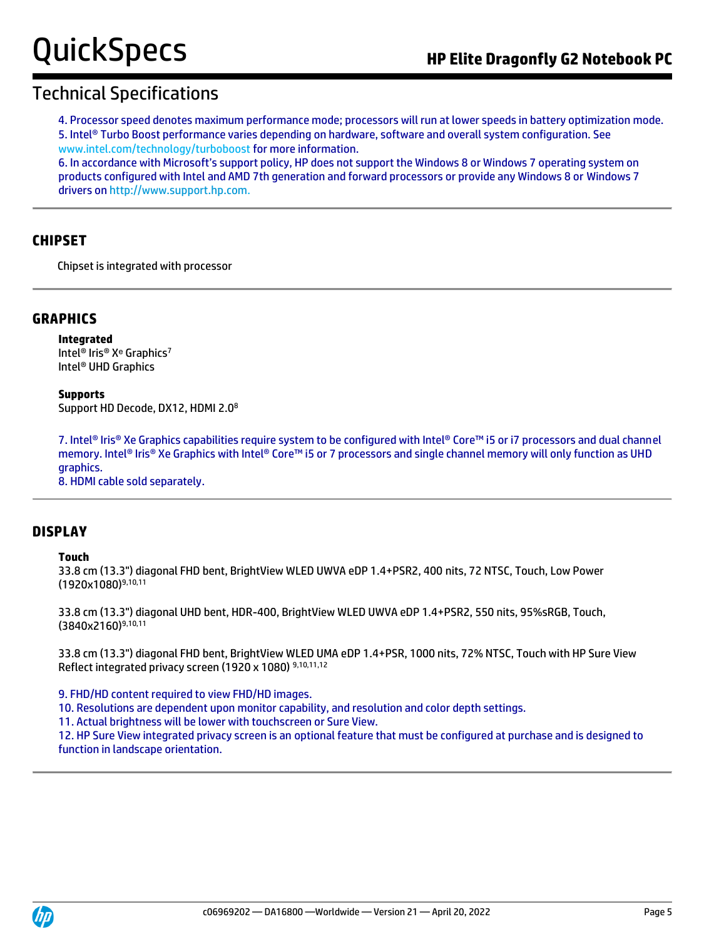4. Processor speed denotes maximum performance mode; processors will run at lower speeds in battery optimization mode. 5. Intel® Turbo Boost performance varies depending on hardware, software and overall system configuration. See www.intel.com/technology/turboboost for more information.

6. In accordance with Microsoft's support policy, HP does not support the Windows 8 or Windows 7 operating system on products configured with Intel and AMD 7th generation and forward processors or provide any Windows 8 or Windows 7 drivers o[n http://www.support.hp.com.](http://www.support.hp.com/)

#### **CHIPSET**

Chipset is integrated with processor

#### **GRAPHICS**

**Integrated** Intel<sup>®</sup> Iris<sup>®</sup> X<sup>e</sup> Graphics<sup>7</sup> Intel® UHD Graphics

**Supports** Support HD Decode, DX12, HDMI 2.0<sup>8</sup>

7. Intel® Iris® Xe Graphics capabilities require system to be configured with Intel® Core™ i5 or i7 processors and dual channel memory. Intel® Iris® Xe Graphics with Intel® Core™ i5 or 7 processors and single channel memory will only function as UHD graphics.

8. HDMI cable sold separately.

#### **DISPLAY**

#### **Touch**

33.8 cm (13.3") diagonal FHD bent, BrightView WLED UWVA eDP 1.4+PSR2, 400 nits, 72 NTSC, Touch, Low Power (1920x1080)9,10,11

33.8 cm (13.3") diagonal UHD bent, HDR-400, BrightView WLED UWVA eDP 1.4+PSR2, 550 nits, 95%sRGB, Touch, (3840x2160)9,10,11

33.8 cm (13.3") diagonal FHD bent, BrightView WLED UMA eDP 1.4+PSR, 1000 nits, 72% NTSC, Touch with HP Sure View Reflect integrated privacy screen (1920 x 1080) 9,10,11,12

9. FHD/HD content required to view FHD/HD images.

10. Resolutions are dependent upon monitor capability, and resolution and color depth settings.

11. Actual brightness will be lower with touchscreen or Sure View.

12. HP Sure View integrated privacy screen is an optional feature that must be configured at purchase and is designed to function in landscape orientation.

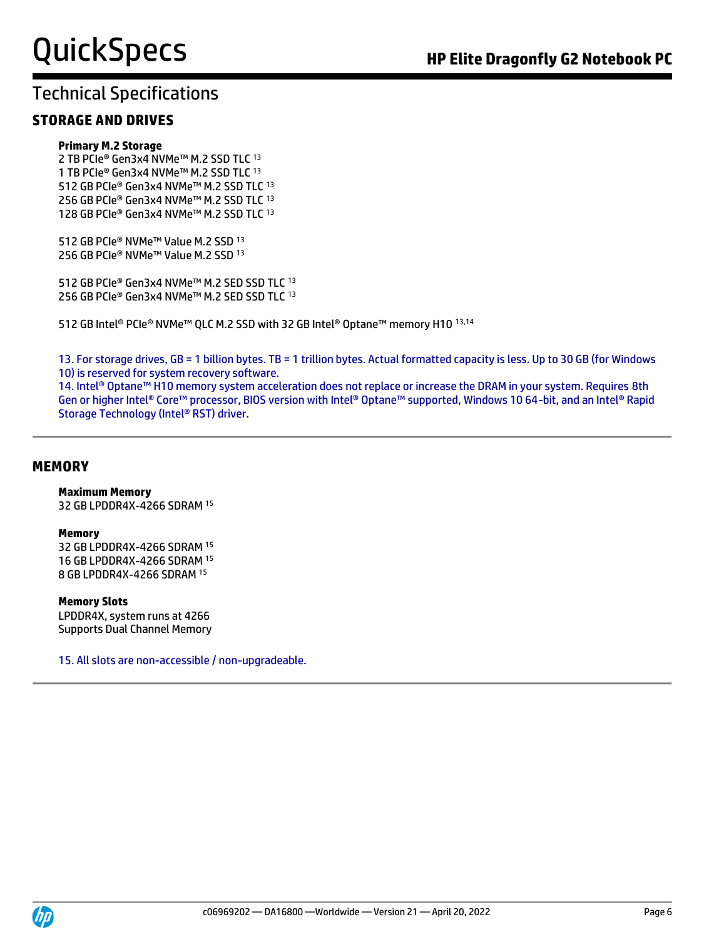#### **STORAGE AND DRIVES**

#### **Primary M.2 Storage**

2 TB PCIe® Gen3x4 NVMe™ M.2 SSD TLC <sup>13</sup> 1 TB PCIe® Gen3x4 NVMe™ M.2 SSD TLC <sup>13</sup> 512 GB PCIe® Gen3x4 NVMe™ M.2 SSD TLC <sup>13</sup> 256 GB PCIe® Gen3x4 NVMe™ M.2 SSD TLC <sup>13</sup> 128 GB PCIe® Gen3x4 NVMe™ M.2 SSD TLC <sup>13</sup>

512 GB PCIe® NVMe™ Value M.2 SSD <sup>13</sup> 256 GB PCIe® NVMe™ Value M.2 SSD<sup>13</sup>

512 GB PCIe® Gen3x4 NVMe™ M.2 SED SSD TLC <sup>13</sup> 256 GB PCIe® Gen3x4 NVMe™ M.2 SED SSD TLC 13

512 GB Intel® PCIe® NVMe™ QLC M.2 SSD with 32 GB Intel® Optane™ memory H10 13,14

13. For storage drives, GB = 1 billion bytes. TB = 1 trillion bytes. Actual formatted capacity is less. Up to 30 GB (for Windows 10) is reserved for system recovery software.

14. Intel® Optane™ H10 memory system acceleration does not replace or increase the DRAM in your system. Requires 8th Gen or higher Intel® Core™ processor, BIOS version with Intel® Optane™ supported, Windows 10 64-bit, and an Intel® Rapid Storage Technology (Intel® RST) driver.

#### **MEMORY**

#### **Maximum Memory**

32 GB LPDDR4X-4266 SDRAM <sup>15</sup>

#### **Memory**

32 GB LPDDR4X-4266 SDRAM <sup>15</sup> 16 GB LPDDR4X-4266 SDRAM <sup>15</sup> 8 GB LPDDR4X-4266 SDRAM <sup>15</sup>

#### **Memory Slots**

LPDDR4X, system runs at 4266 Supports Dual Channel Memory

15. All slots are non-accessible / non-upgradeable.

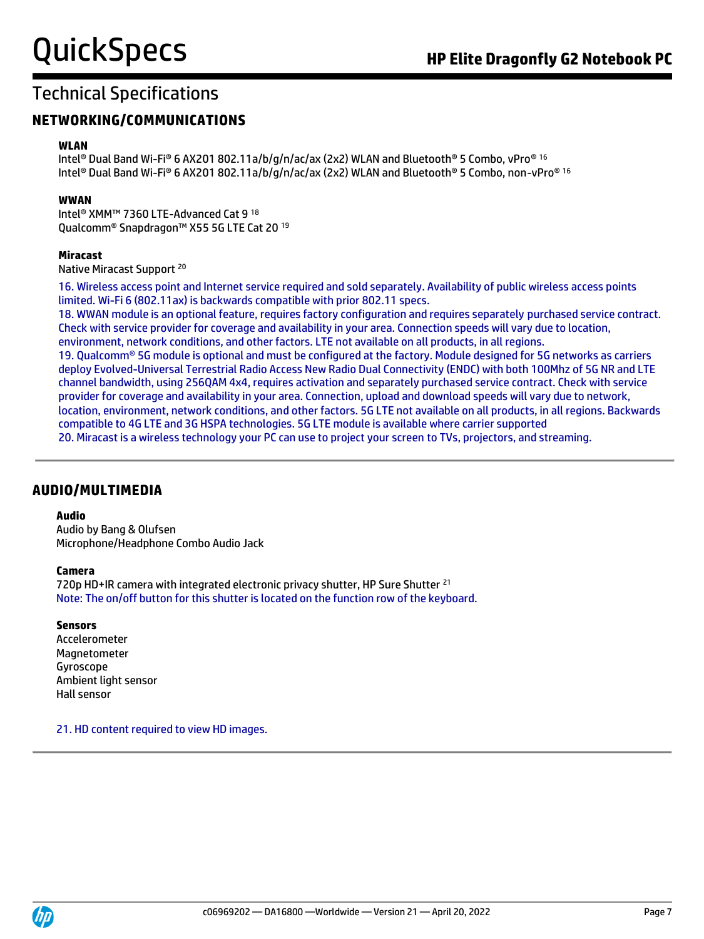#### **NETWORKING/COMMUNICATIONS**

#### **WLAN**

Intel® Dual Band Wi-Fi® 6 AX201 802.11a/b/g/n/ac/ax (2x2) WLAN and Bluetooth® 5 Combo, vPro® 16 Intel® Dual Band Wi-Fi® 6 AX201 802.11a/b/g/n/ac/ax (2x2) WLAN and Bluetooth® 5 Combo, non-vPro® 16

#### **WWAN**

Intel® XMM™ 7360 LTE-Advanced Cat 9 <sup>18</sup> Qualcomm® Snapdragon™ X55 5G LTE Cat 20 <sup>19</sup>

#### **Miracast**

Native Miracast Support <sup>20</sup>

16. Wireless access point and Internet service required and sold separately. Availability of public wireless access points limited. Wi-Fi 6 (802.11ax) is backwards compatible with prior 802.11 specs.

18. WWAN module is an optional feature, requires factory configuration and requires separately purchased service contract. Check with service provider for coverage and availability in your area. Connection speeds will vary due to location, environment, network conditions, and other factors. LTE not available on all products, in all regions.

19. Qualcomm<sup>®</sup> 5G module is optional and must be configured at the factory. Module designed for 5G networks as carriers deploy Evolved-Universal Terrestrial Radio Access New Radio Dual Connectivity (ENDC) with both 100Mhz of 5G NR and LTE channel bandwidth, using 256QAM 4x4, requires activation and separately purchased service contract. Check with service provider for coverage and availability in your area. Connection, upload and download speeds will vary due to network, location, environment, network conditions, and other factors. 5G LTE not available on all products, in all regions. Backwards compatible to 4G LTE and 3G HSPA technologies. 5G LTE module is available where carrier supported

20. Miracast is a wireless technology your PC can use to project your screen to TVs, projectors, and streaming.

#### **AUDIO/MULTIMEDIA**

#### **Audio**

Audio by Bang & Olufsen Microphone/Headphone Combo Audio Jack

#### **Camera**

720p HD+IR camera with integrated electronic privacy shutter, HP Sure Shutter <sup>21</sup> Note: The on/off button for this shutter is located on the function row of the keyboard.

#### **Sensors**

Accelerometer Magnetometer Gyroscope Ambient light sensor Hall sensor

21. HD content required to view HD images.

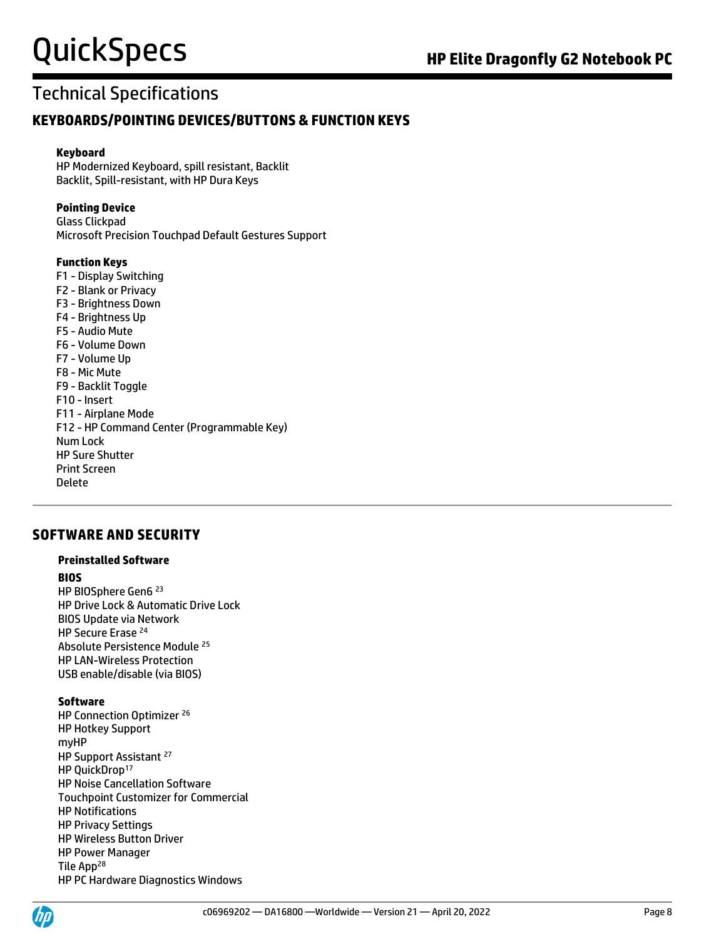#### **KEYBOARDS/POINTING DEVICES/BUTTONS & FUNCTION KEYS**

#### **Keyboard**

HP Modernized Keyboard, spill resistant, Backlit Backlit, Spill-resistant, with HP Dura Keys

#### **Pointing Device**

Glass Clickpad Microsoft Precision Touchpad Default Gestures Support

#### **Function Keys**

F1 - Display Switching F2 - Blank or Privacy F3 - Brightness Down F4 - Brightness Up F5 - Audio Mute F6 - Volume Down F7 - Volume Up F8 - Mic Mute F9 - Backlit Toggle F10 - Insert F11 - Airplane Mode F12 - HP Command Center (Programmable Key) Num Lock HP Sure Shutter Print Screen Delete

#### **SOFTWARE AND SECURITY**

#### **Preinstalled Software**

#### **BIOS**

HP BIOSphere Gen6 <sup>23</sup> HP Drive Lock & Automatic Drive Lock BIOS Update via Network HP Secure Erase <sup>24</sup> Absolute Persistence Module <sup>25</sup> HP LAN-Wireless Protection USB enable/disable (via BIOS)

#### **Software**

HP Connection Optimizer <sup>26</sup> HP Hotkey Support myHP HP Support Assistant <sup>27</sup> HP QuickDrop<sup>17</sup> HP Noise Cancellation Software Touchpoint Customizer for Commercial HP Notifications HP Privacy Settings HP Wireless Button Driver HP Power Manager Tile App<sup>28</sup> HP PC Hardware Diagnostics Windows

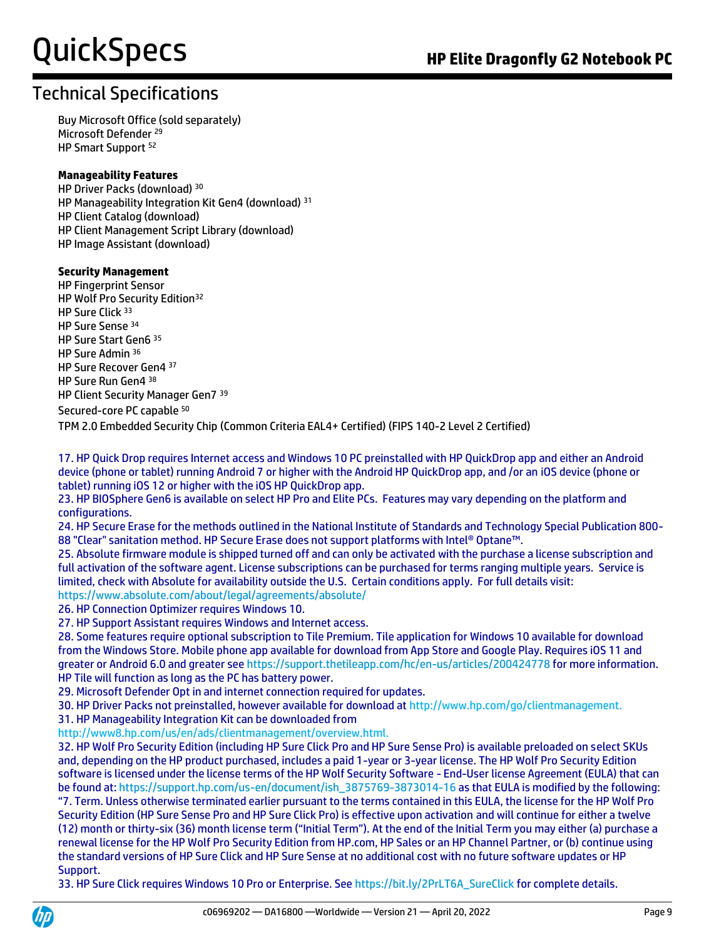### Technical Specifications

Buy Microsoft Office (sold separately) Microsoft Defender <sup>29</sup> HP Smart Support <sup>52</sup>

#### **Manageability Features**

HP Driver Packs (download) <sup>30</sup> HP Manageability Integration Kit Gen4 (download) <sup>31</sup> HP Client Catalog (download) HP Client Management Script Library (download) HP Image Assistant (download)

#### **Security Management**

HP Fingerprint Sensor HP Wolf Pro Security Edition<sup>32</sup> HP Sure Click <sup>33</sup> HP Sure Sense <sup>34</sup> HP Sure Start Gen6 <sup>35</sup> HP Sure Admin <sup>36</sup> HP Sure Recover Gen4 37 HP Sure Run Gen4 38 HP Client Security Manager Gen7 <sup>39</sup> Secured-core PC capable <sup>50</sup>

TPM 2.0 Embedded Security Chip (Common Criteria EAL4+ Certified) (FIPS 140-2 Level 2 Certified)

17. HP Quick Drop requires Internet access and Windows 10 PC preinstalled with HP QuickDrop app and either an Android device (phone or tablet) running Android 7 or higher with the Android HP QuickDrop app, and /or an iOS device (phone or tablet) running iOS 12 or higher with the iOS HP QuickDrop app.

23. HP BIOSphere Gen6 is available on select HP Pro and Elite PCs. Features may vary depending on the platform and configurations.

24. HP Secure Erase for the methods outlined in the National Institute of Standards and Technology Special Publication 800- 88 "Clear" sanitation method. HP Secure Erase does not support platforms with Intel® Optane™.

25. Absolute firmware module is shipped turned off and can only be activated with the purchase a license subscription and full activation of the software agent. License subscriptions can be purchased for terms ranging multiple years. Service is limited, check with Absolute for availability outside the U.S. Certain conditions apply. For full details visit:

<https://www.absolute.com/about/legal/agreements/absolute/>

26. HP Connection Optimizer requires Windows 10.

27. HP Support Assistant requires Windows and Internet access.

28. Some features require optional subscription to Tile Premium. Tile application for Windows 10 available for download from the Windows Store. Mobile phone app available for download from App Store and Google Play. Requires iOS 11 and greater or Android 6.0 and greater se[e https://support.thetileapp.com/hc/en-us/articles/200424778](https://support.thetileapp.com/hc/en-us/articles/200424778) for more information. HP Tile will function as long as the PC has battery power.

29. Microsoft Defender Opt in and internet connection required for updates.

30. HP Driver Packs not preinstalled, however available for download at http://www.hp.com/go/clientmanagement.

31. HP Manageability Integration Kit can be downloaded from

http://www8.hp.com/us/en/ads/clientmanagement/overview.html.

32. HP Wolf Pro Security Edition (including HP Sure Click Pro and HP Sure Sense Pro) is available preloaded on select SKUs and, depending on the HP product purchased, includes a paid 1-year or 3-year license. The HP Wolf Pro Security Edition software is licensed under the license terms of the HP Wolf Security Software - End-User license Agreement (EULA) that can be found at[: https://support.hp.com/us-en/document/ish\\_3875769-3873014-16](https://support.hp.com/us-en/document/ish_3875769-3873014-16) as that EULA is modified by the following: "7. Term. Unless otherwise terminated earlier pursuant to the terms contained in this EULA, the license for the HP Wolf Pro Security Edition (HP Sure Sense Pro and HP Sure Click Pro) is effective upon activation and will continue for either a twelve (12) month or thirty-six (36) month license term ("Initial Term"). At the end of the Initial Term you may either (a) purchase a renewal license for the HP Wolf Pro Security Edition from HP.com, HP Sales or an HP Channel Partner, or (b) continue using the standard versions of HP Sure Click and HP Sure Sense at no additional cost with no future software updates or HP Support.

33. HP Sure Click requires Windows 10 Pro or Enterprise. Se[e https://bit.ly/2PrLT6A\\_SureClick](https://bit.ly/2PrLT6A_SureClick) for complete details.

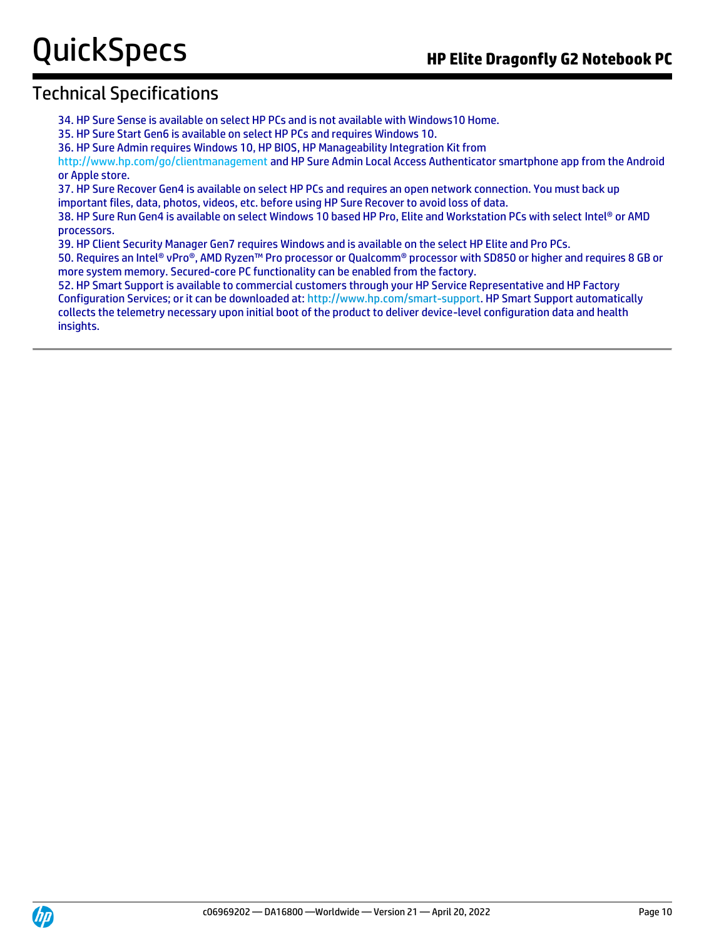34. HP Sure Sense is available on select HP PCs and is not available with Windows10 Home.

35. HP Sure Start Gen6 is available on select HP PCs and requires Windows 10.

36. HP Sure Admin requires Windows 10, HP BIOS, HP Manageability Integration Kit from

http://www.hp.com/go/clientmanagement and HP Sure Admin Local Access Authenticator smartphone app from the Android or Apple store.

37. HP Sure Recover Gen4 is available on select HP PCs and requires an open network connection. You must back up important files, data, photos, videos, etc. before using HP Sure Recover to avoid loss of data.

38. HP Sure Run Gen4 is available on select Windows 10 based HP Pro, Elite and Workstation PCs with select Intel® or AMD processors.

39. HP Client Security Manager Gen7 requires Windows and is available on the select HP Elite and Pro PCs.

50. Requires an Intel® vPro®, AMD Ryzen™ Pro processor or Qualcomm® processor with SD850 or higher and requires 8 GB or more system memory. Secured-core PC functionality can be enabled from the factory.

52. HP Smart Support is available to commercial customers through your HP Service Representative and HP Factory Configuration Services; or it can be downloaded at[: http://www.hp.com/smart-support.](http://www.hp.com/smart-support) HP Smart Support automatically collects the telemetry necessary upon initial boot of the product to deliver device-level configuration data and health insights.

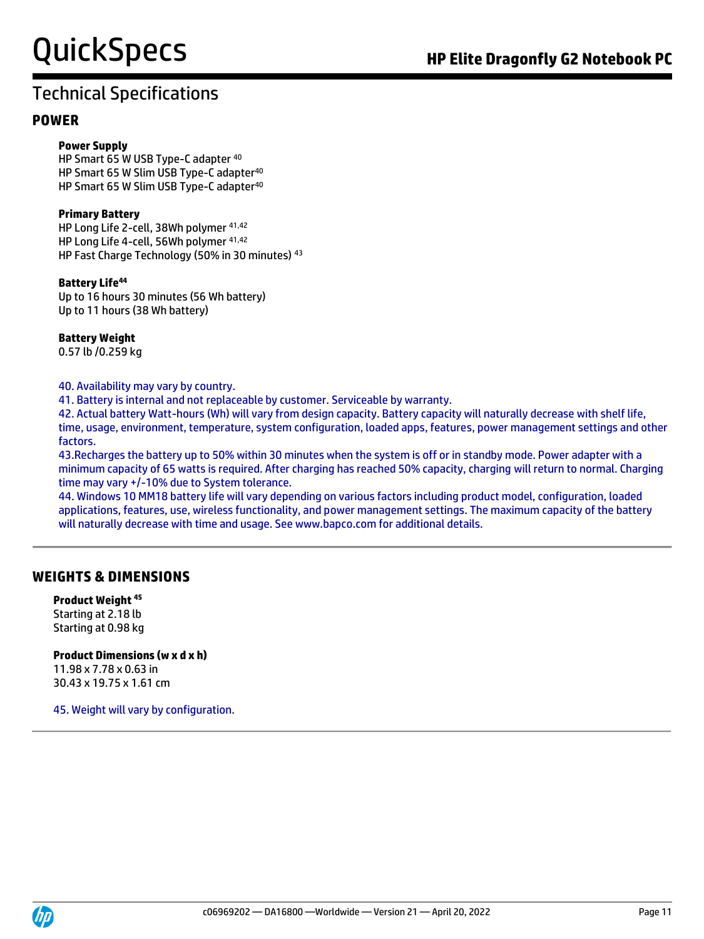#### **POWER**

#### **Power Supply**

HP Smart 65 W USB Type-C adapter <sup>40</sup> HP Smart 65 W Slim USB Type-C adapter<sup>40</sup> HP Smart 65 W Slim USB Type-C adapter<sup>40</sup>

#### **Primary Battery**

HP Long Life 2-cell, 38Wh polymer 41,42 HP Long Life 4-cell, 56Wh polymer 41,42 HP Fast Charge Technology (50% in 30 minutes) <sup>43</sup>

#### **Battery Life<sup>44</sup>**

Up to 16 hours 30 minutes (56 Wh battery) Up to 11 hours (38 Wh battery)

#### **Battery Weight**

0.57 lb /0.259 kg

#### 40. Availability may vary by country.

41. Battery is internal and not replaceable by customer. Serviceable by warranty.

42. Actual battery Watt-hours (Wh) will vary from design capacity. Battery capacity will naturally decrease with shelf life, time, usage, environment, temperature, system configuration, loaded apps, features, power management settings and other factors.

43.Recharges the battery up to 50% within 30 minutes when the system is off or in standby mode. Power adapter with a minimum capacity of 65 watts is required. After charging has reached 50% capacity, charging will return to normal. Charging time may vary +/-10% due to System tolerance.

44. Windows 10 MM18 battery life will vary depending on various factors including product model, configuration, loaded applications, features, use, wireless functionality, and power management settings. The maximum capacity of the battery will naturally decrease with time and usage. See www.bapco.com for additional details.

#### **WEIGHTS & DIMENSIONS**

**Product Weight <sup>45</sup>** Starting at 2.18 lb Starting at 0.98 kg

#### **Product Dimensions (w x d x h)** 11.98 x 7.78 x 0.63 in

30.43 x 19.75 x 1.61 cm

45. Weight will vary by configuration.

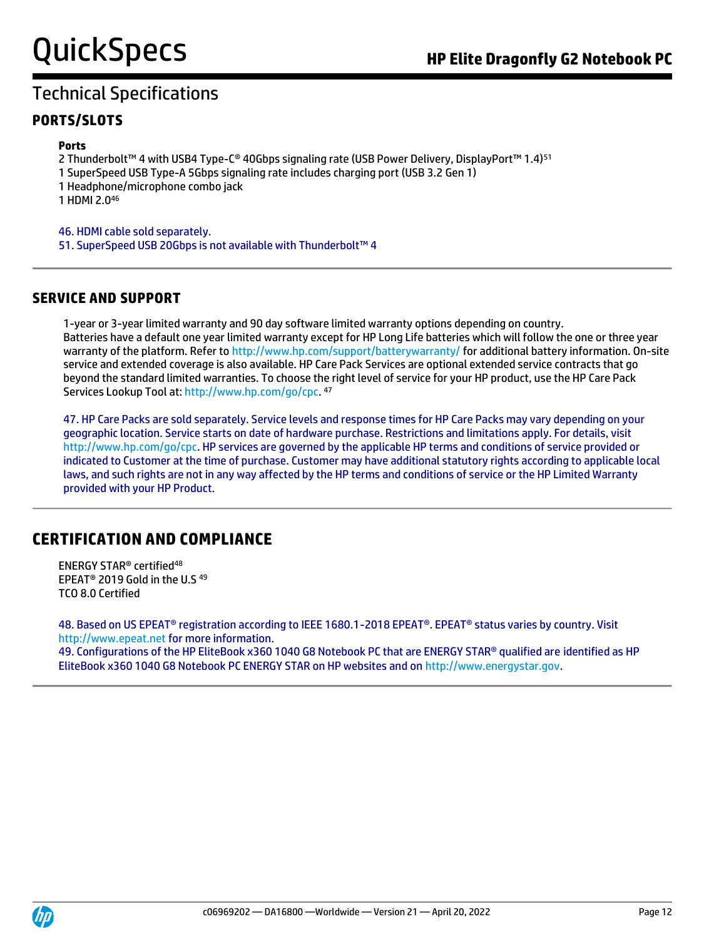#### **PORTS/SLOTS**

#### **Ports**

2 Thunderbolt™ 4 with USB4 Type-C® 40Gbps signaling rate (USB Power Delivery, DisplayPort™ 1.4)<sup>51</sup>

- 1 SuperSpeed USB Type-A 5Gbps signaling rate includes charging port (USB 3.2 Gen 1)
- 1 Headphone/microphone combo jack

1 HDMI 2.0<sup>46</sup>

46. HDMI cable sold separately. 51. SuperSpeed USB 20Gbps is not available with Thunderbolt™ 4

#### **SERVICE AND SUPPORT**

1-year or 3-year limited warranty and 90 day software limited warranty options depending on country. Batteries have a default one year limited warranty except for HP Long Life batteries which will follow the one or three year warranty of the platform. Refer to<http://www.hp.com/support/batterywarranty/> for additional battery information. On-site service and extended coverage is also available. HP Care Pack Services are optional extended service contracts that go beyond the standard limited warranties. To choose the right level of service for your HP product, use the HP Care Pack Services Lookup Tool at: [http://www.hp.com/go/cpc.](http://www.hp.com/go/cpc) 47

47. HP Care Packs are sold separately. Service levels and response times for HP Care Packs may vary depending on your geographic location. Service starts on date of hardware purchase. Restrictions and limitations apply. For details, visit [http://www.hp.com/go/cpc.](http://www.hp.com/go/cpc) HP services are governed by the applicable HP terms and conditions of service provided or indicated to Customer at the time of purchase. Customer may have additional statutory rights according to applicable local laws, and such rights are not in any way affected by the HP terms and conditions of service or the HP Limited Warranty provided with your HP Product.

### **CERTIFICATION AND COMPLIANCE**

ENERGY STAR® certified<sup>48</sup> EPEAT® 2019 Gold in the U.S <sup>49</sup> TCO 8.0 Certified

48. Based on US EPEAT® registration according to IEEE 1680.1-2018 EPEAT®. EPEAT® status varies by country. Visit http://www.epeat.net for more information. 49. Configurations of the HP EliteBook x360 1040 G8 Notebook PC that are ENERGY STAR® qualified are identified as HP EliteBook x360 1040 G8 Notebook PC ENERGY STAR on HP websites and on [http://www.energystar.gov.](http://www.energystar.gov/)

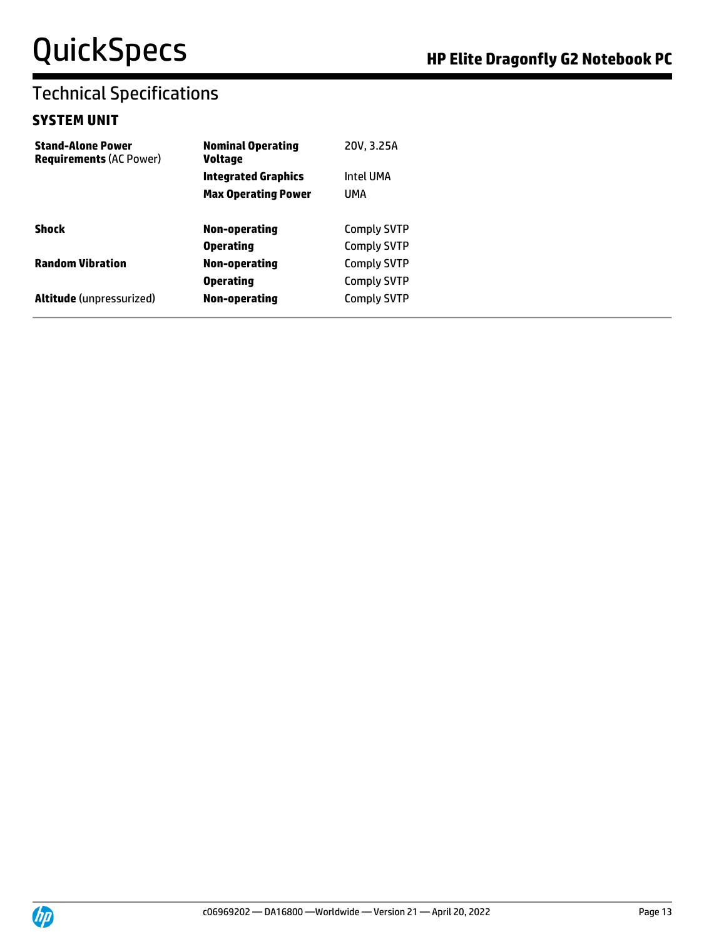#### **SYSTEM UNIT**

| <b>Nominal Operating</b><br><b>Voltage</b> | 20V, 3.25A         |
|--------------------------------------------|--------------------|
| <b>Integrated Graphics</b>                 | Intel UMA          |
| <b>Max Operating Power</b>                 | UMA                |
| Non-operating                              | <b>Comply SVTP</b> |
| <b>Operating</b>                           | <b>Comply SVTP</b> |
| Non-operating                              | <b>Comply SVTP</b> |
| <b>Operating</b>                           | <b>Comply SVTP</b> |
| Non-operating                              | <b>Comply SVTP</b> |
|                                            |                    |

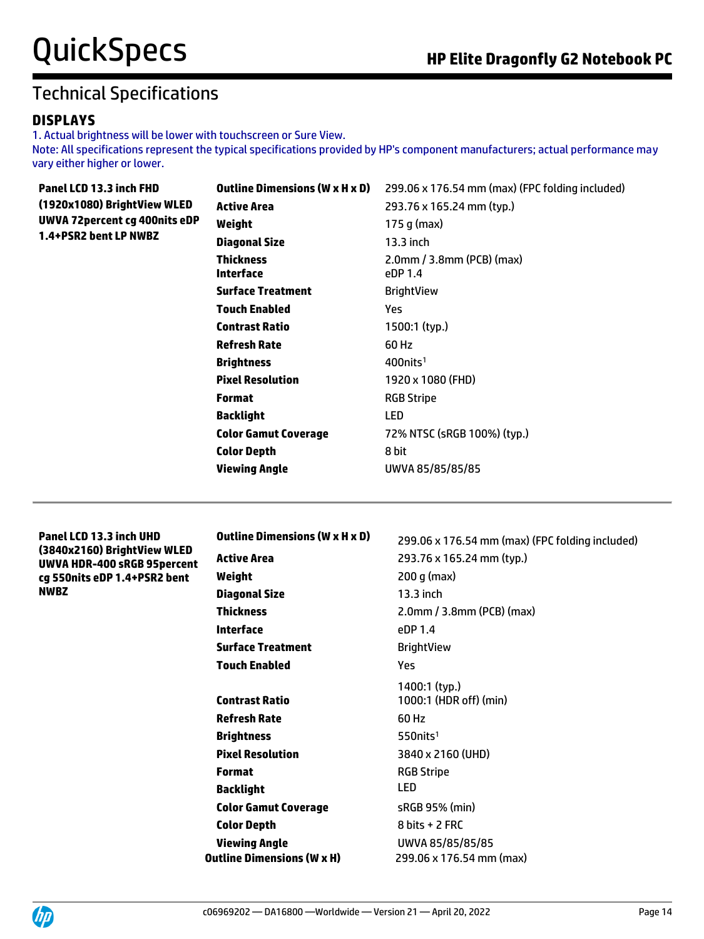#### **DISPLAYS**

1. Actual brightness will be lower with touchscreen or Sure View. Note: All specifications represent the typical specifications provided by HP's component manufacturers; actual performance may vary either higher or lower.

| Panel LCD 13.3 inch FHD                                | <b>Outline Dimensions (W x H x D)</b>             | 299.06 x 176.54 mm (max) (FPC folding included) |
|--------------------------------------------------------|---------------------------------------------------|-------------------------------------------------|
| (1920x1080) BrightView WLED                            | <b>Active Area</b>                                | 293.76 x 165.24 mm (typ.)                       |
| <b>UWVA 72percent cg 400nits eDP</b>                   | Weight                                            | 175 g (max)                                     |
| 1.4+PSR2 bent LP NWBZ                                  | <b>Diagonal Size</b>                              | 13.3 inch                                       |
|                                                        | <b>Thickness</b>                                  | 2.0mm / 3.8mm (PCB) (max)                       |
|                                                        | <b>Interface</b>                                  | eDP 1.4                                         |
|                                                        | <b>Surface Treatment</b>                          | <b>BrightView</b>                               |
|                                                        | <b>Touch Enabled</b>                              | Yes                                             |
|                                                        | <b>Contrast Ratio</b>                             | 1500:1 (typ.)                                   |
|                                                        | <b>Refresh Rate</b>                               | 60 Hz                                           |
|                                                        | <b>Brightness</b>                                 | $400$ nits <sup>1</sup>                         |
|                                                        | <b>Pixel Resolution</b>                           | 1920 x 1080 (FHD)                               |
|                                                        | <b>Format</b>                                     | <b>RGB Stripe</b>                               |
|                                                        | <b>Backlight</b>                                  | LED                                             |
|                                                        | <b>Color Gamut Coverage</b>                       | 72% NTSC (sRGB 100%) (typ.)                     |
|                                                        | <b>Color Depth</b>                                | 8 bit                                           |
|                                                        | <b>Viewing Angle</b>                              | UWVA 85/85/85/85                                |
|                                                        |                                                   |                                                 |
|                                                        |                                                   |                                                 |
|                                                        |                                                   |                                                 |
| Panel LCD 13.3 inch UHD<br>(3840x2160) BrightView WLED | <b>Outline Dimensions (W x H x D)</b>             | 299.06 x 176.54 mm (max) (FPC folding included) |
| UWVA HDR-400 sRGB 95percent                            | <b>Active Area</b>                                | 293.76 x 165.24 mm (typ.)                       |
| cg 550nits eDP 1.4+PSR2 bent                           | Weight                                            | $200$ g (max)                                   |
| <b>NWBZ</b>                                            | <b>Diagonal Size</b>                              | 13.3 inch                                       |
|                                                        | <b>Thickness</b>                                  | 2.0mm / 3.8mm (PCB) (max)                       |
|                                                        | <b>Interface</b>                                  | eDP 1.4                                         |
|                                                        | <b>Surface Treatment</b>                          | <b>BrightView</b>                               |
|                                                        | <b>Touch Enabled</b>                              | Yes                                             |
|                                                        |                                                   | 1400:1 (typ.)                                   |
|                                                        | <b>Contrast Ratio</b>                             | 1000:1 (HDR off) (min)                          |
|                                                        | <b>Refresh Rate</b>                               | 60 Hz                                           |
|                                                        | <b>Brightness</b>                                 | 550nits <sup>1</sup>                            |
|                                                        | <b>Pixel Resolution</b>                           | 3840 x 2160 (UHD)                               |
|                                                        | <b>Format</b>                                     | <b>RGB Stripe</b>                               |
|                                                        | <b>Backlight</b>                                  | <b>LED</b>                                      |
|                                                        | <b>Color Gamut Coverage</b><br><b>Color Depth</b> | sRGB 95% (min)<br>8 bits + 2 FRC                |

**Viewing Angle** UWVA 85/85/85/85 **Outline Dimensions (W x H)** 299.06 x 176.54 mm (max)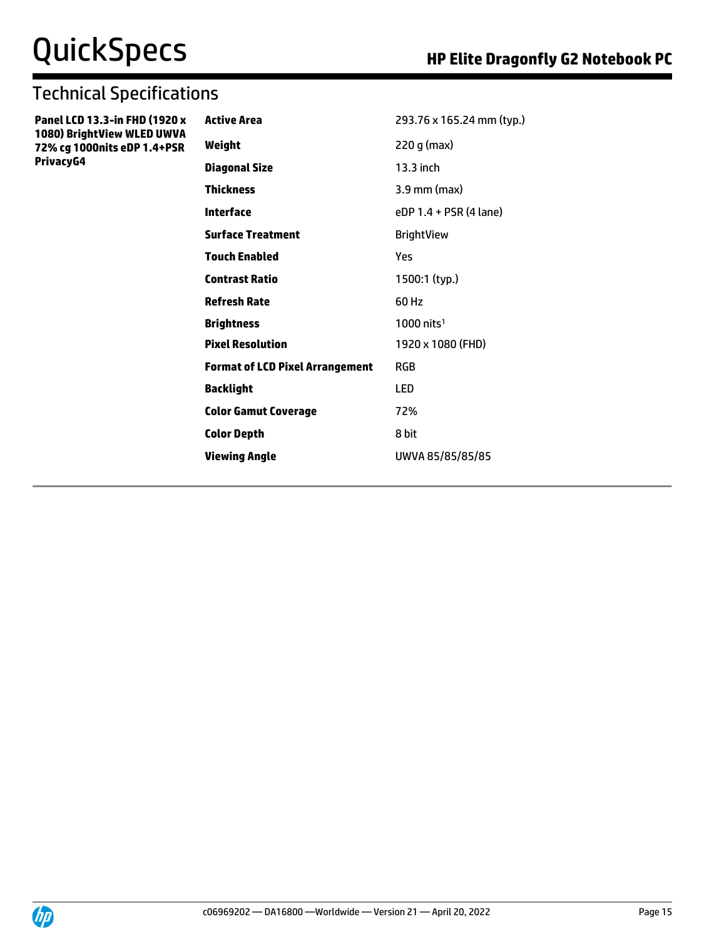## Technical Specifications

**Panel LCD 13.3-in FHD (1920 x 1080) BrightView WLED UWVA 72% cg 1000nits eDP 1.4+PSR PrivacyG4**

| Active Area                     | 293.76 x 165.24 mm (typ.) |
|---------------------------------|---------------------------|
| Weight                          | 220 g (max)               |
| Diagonal Size                   | 13.3 inch                 |
| Thickness                       | $3.9$ mm (max)            |
| Interface                       | eDP 1.4 + PSR (4 lane)    |
| Surface Treatment               | <b>BrightView</b>         |
| Touch Enabled                   | Yes                       |
| Contrast Ratio                  | 1500:1 (typ.)             |
| Refresh Rate                    | 60 Hz                     |
| Brightness                      | $1000$ nits <sup>1</sup>  |
| <b>Pixel Resolution</b>         | 1920 x 1080 (FHD)         |
| Format of LCD Pixel Arrangement | RGB                       |
| Backlight                       | LED                       |
| <b>Color Gamut Coverage</b>     | 72%                       |
| Color Depth                     | 8 bit                     |
| Viewing Angle                   | UWVA 85/85/85/85          |
|                                 |                           |

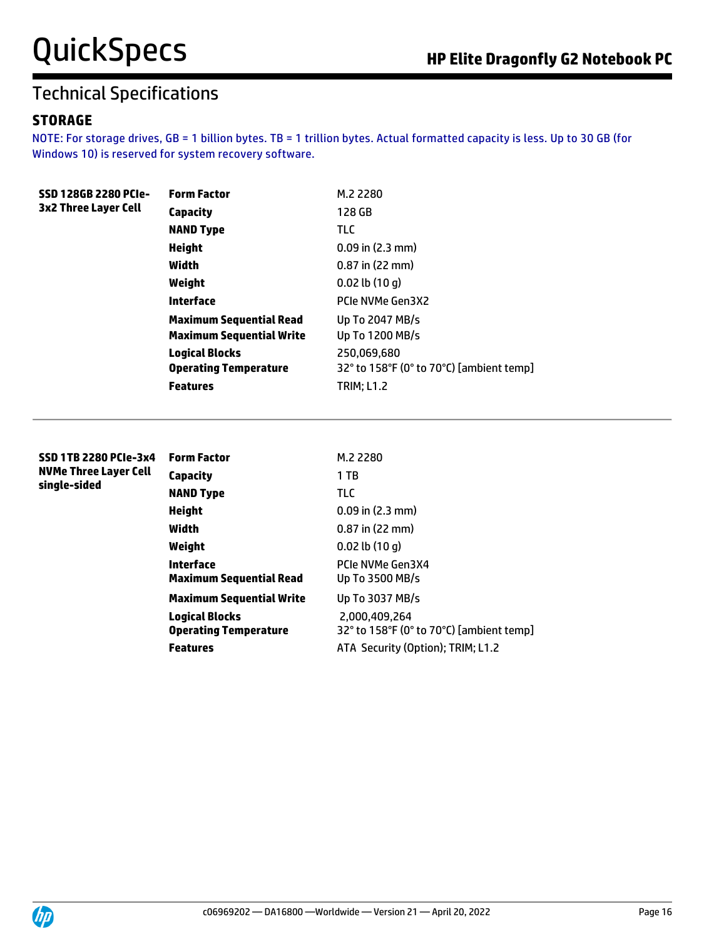#### **STORAGE**

NOTE: For storage drives, GB = 1 billion bytes. TB = 1 trillion bytes. Actual formatted capacity is less. Up to 30 GB (for Windows 10) is reserved for system recovery software.

| SSD 128GB 2280 PCIe-<br>3x2 Three Layer Cell | <b>Form Factor</b>              | M.2 2280                                 |
|----------------------------------------------|---------------------------------|------------------------------------------|
|                                              | Capacity                        | 128 GB                                   |
|                                              | <b>NAND Type</b>                | <b>TLC</b>                               |
|                                              | Height                          | $0.09$ in $(2.3$ mm)                     |
|                                              | Width                           | $0.87$ in (22 mm)                        |
|                                              | Weight                          | $0.02$ lb $(10q)$                        |
|                                              | <b>Interface</b>                | PCIe NVMe Gen3X2                         |
|                                              | <b>Maximum Sequential Read</b>  | Up To 2047 MB/s                          |
|                                              | <b>Maximum Sequential Write</b> | Up To 1200 MB/s                          |
|                                              | <b>Logical Blocks</b>           | 250,069,680                              |
|                                              | <b>Operating Temperature</b>    | 32° to 158°F (0° to 70°C) [ambient temp] |
|                                              | <b>Features</b>                 | <b>TRIM: L1.2</b>                        |
|                                              |                                 |                                          |

| <b>SSD 1TB 2280 PCIe-3x4</b><br><b>NVMe Three Layer Cell</b> | <b>Form Factor</b>                                    | M.2 2280                                                  |
|--------------------------------------------------------------|-------------------------------------------------------|-----------------------------------------------------------|
|                                                              | Capacity                                              | 1 TB                                                      |
| single-sided                                                 | <b>NAND Type</b>                                      | <b>TLC</b>                                                |
|                                                              | <b>Height</b>                                         | $0.09$ in $(2.3$ mm)                                      |
|                                                              | Width                                                 | $0.87$ in (22 mm)                                         |
|                                                              | Weight                                                | $0.02$ lb $(10q)$                                         |
|                                                              | Interface<br><b>Maximum Sequential Read</b>           | PCIe NVMe Gen3X4<br>Up To 3500 MB/s                       |
|                                                              | <b>Maximum Sequential Write</b>                       | Up To 3037 MB/s                                           |
|                                                              | <b>Logical Blocks</b><br><b>Operating Temperature</b> | 2.000.409.264<br>32° to 158°F (0° to 70°C) [ambient temp] |
|                                                              | <b>Features</b>                                       | ATA Security (Option); TRIM; L1.2                         |

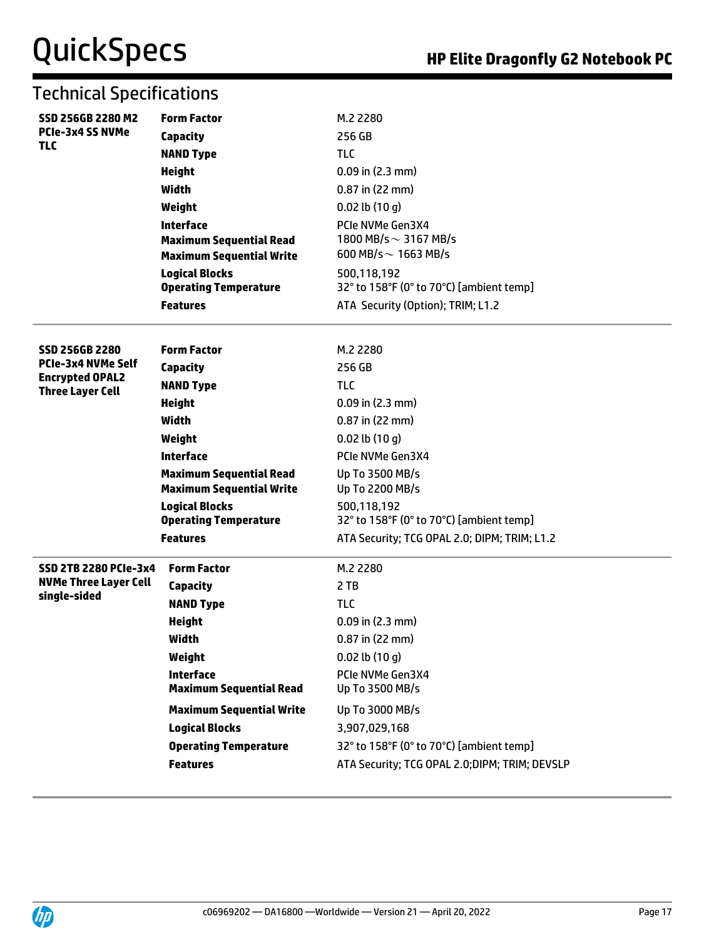| SSD 256GB 2280 M2<br><b>PCIe-3x4 SS NVMe</b><br><b>TLC</b> | <b>Form Factor</b>                                 | M.2 2280                                      |
|------------------------------------------------------------|----------------------------------------------------|-----------------------------------------------|
|                                                            | <b>Capacity</b>                                    | 256 GB                                        |
|                                                            | <b>NAND Type</b>                                   | <b>TLC</b>                                    |
|                                                            | <b>Height</b>                                      | $0.09$ in (2.3 mm)                            |
|                                                            | <b>Width</b>                                       | $0.87$ in (22 mm)                             |
|                                                            | Weight                                             | $0.02$ lb $(10q)$                             |
|                                                            | <b>Interface</b>                                   | PCIe NVMe Gen3X4                              |
|                                                            | <b>Maximum Sequential Read</b>                     | 1800 MB/s $\sim$ 3167 MB/s                    |
|                                                            | <b>Maximum Sequential Write</b>                    | 600 MB/s $\sim$ 1663 MB/s                     |
|                                                            | <b>Logical Blocks</b>                              | 500,118,192                                   |
|                                                            | <b>Operating Temperature</b>                       | 32° to 158°F (0° to 70°C) [ambient temp]      |
|                                                            | <b>Features</b>                                    | ATA Security (Option); TRIM; L1.2             |
|                                                            |                                                    |                                               |
| <b>SSD 256GB 2280</b>                                      | <b>Form Factor</b>                                 | M.2 2280                                      |
| <b>PCIe-3x4 NVMe Self</b>                                  | <b>Capacity</b>                                    | 256 GB                                        |
| <b>Encrypted OPAL2</b><br><b>Three Layer Cell</b>          | <b>NAND Type</b>                                   | <b>TLC</b>                                    |
|                                                            | <b>Height</b>                                      | $0.09$ in $(2.3$ mm)                          |
|                                                            | <b>Width</b>                                       | $0.87$ in (22 mm)                             |
|                                                            | Weight                                             | $0.02$ lb $(10q)$                             |
|                                                            | <b>Interface</b>                                   | PCIe NVMe Gen3X4                              |
|                                                            | <b>Maximum Sequential Read</b>                     | Up To 3500 MB/s                               |
|                                                            | <b>Maximum Sequential Write</b>                    | Up To 2200 MB/s                               |
|                                                            | <b>Logical Blocks</b>                              | 500,118,192                                   |
|                                                            | <b>Operating Temperature</b>                       | 32° to 158°F (0° to 70°C) [ambient temp]      |
|                                                            | <b>Features</b>                                    | ATA Security; TCG OPAL 2.0; DIPM; TRIM; L1.2  |
| <b>SSD 2TB 2280 PCIe-3x4</b>                               | <b>Form Factor</b>                                 | M.2 2280                                      |
| <b>NVMe Three Layer Cell</b>                               | <b>Capacity</b>                                    | 2 TB                                          |
| single-sided                                               | <b>NAND Type</b>                                   | <b>TLC</b>                                    |
|                                                            | <b>Height</b>                                      | $0.09$ in $(2.3$ mm)                          |
|                                                            | Width                                              | 0.87 in (22 mm)                               |
|                                                            | Weight                                             | $0.02$ lb $(10q)$                             |
|                                                            | <b>Interface</b><br><b>Maximum Sequential Read</b> | PCIe NVMe Gen3X4<br>Up To 3500 MB/s           |
|                                                            | <b>Maximum Sequential Write</b>                    | Up To 3000 MB/s                               |
|                                                            | <b>Logical Blocks</b>                              | 3,907,029,168                                 |
|                                                            | <b>Operating Temperature</b>                       | 32° to 158°F (0° to 70°C) [ambient temp]      |
|                                                            | <b>Features</b>                                    | ATA Security; TCG OPAL 2.0;DIPM; TRIM; DEVSLP |
|                                                            |                                                    |                                               |

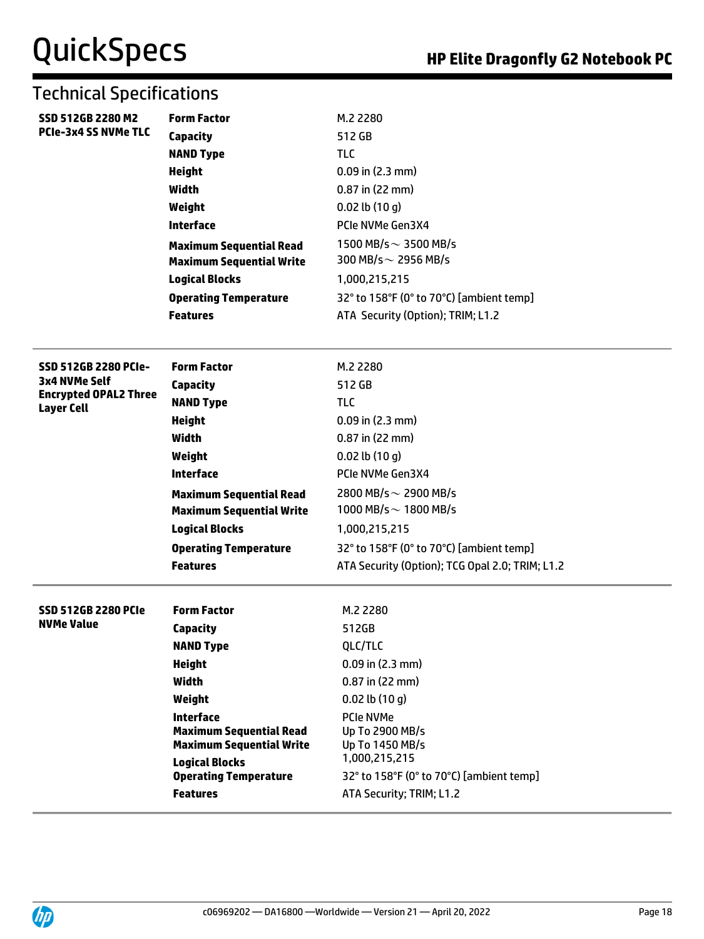| <b>SSD 512GB 2280 M2</b><br><b>PCIe-3x4 SS NVMe TLC</b>                                           | <b>Form Factor</b><br>Capacity<br><b>NAND Type</b><br><b>Height</b><br>Width<br>Weight<br><b>Interface</b><br><b>Maximum Sequential Read</b><br><b>Maximum Sequential Write</b><br><b>Logical Blocks</b>                                                    | M.2 2280<br>512 GB<br><b>TLC</b><br>$0.09$ in (2.3 mm)<br>$0.87$ in (22 mm)<br>$0.02$ lb $(10 g)$<br>PCIe NVMe Gen3X4<br>1500 MB/s $\sim$ 3500 MB/s<br>300 MB/s $\sim$ 2956 MB/s<br>1,000,215,215                                                                                              |
|---------------------------------------------------------------------------------------------------|-------------------------------------------------------------------------------------------------------------------------------------------------------------------------------------------------------------------------------------------------------------|------------------------------------------------------------------------------------------------------------------------------------------------------------------------------------------------------------------------------------------------------------------------------------------------|
|                                                                                                   | <b>Operating Temperature</b><br><b>Features</b>                                                                                                                                                                                                             | 32° to 158°F (0° to 70°C) [ambient temp]<br>ATA Security (Option); TRIM; L1.2                                                                                                                                                                                                                  |
|                                                                                                   |                                                                                                                                                                                                                                                             |                                                                                                                                                                                                                                                                                                |
| <b>SSD 512GB 2280 PCIe-</b><br>3x4 NVMe Self<br><b>Encrypted OPAL2 Three</b><br><b>Layer Cell</b> | <b>Form Factor</b><br>Capacity<br><b>NAND Type</b><br><b>Height</b><br>Width<br>Weight<br><b>Interface</b><br><b>Maximum Sequential Read</b><br><b>Maximum Sequential Write</b><br><b>Logical Blocks</b><br><b>Operating Temperature</b><br><b>Features</b> | M.2 2280<br>512 GB<br><b>TLC</b><br>$0.09$ in (2.3 mm)<br>0.87 in (22 mm)<br>$0.02$ lb $(10q)$<br>PCIe NVMe Gen3X4<br>2800 MB/s $\sim$ 2900 MB/s<br>1000 MB/s $\sim$ 1800 MB/s<br>1,000,215,215<br>32° to 158°F (0° to 70°C) [ambient temp]<br>ATA Security (Option); TCG Opal 2.0; TRIM; L1.2 |
| <b>SSD 512GB 2280 PCIe</b><br><b>NVMe Value</b>                                                   | <b>Form Factor</b><br>Capacity<br><b>NAND Type</b><br><b>Height</b><br>Width<br>Weight<br><b>Interface</b><br><b>Maximum Sequential Read</b><br><b>Maximum Sequential Write</b><br><b>Logical Blocks</b><br><b>Operating Temperature</b><br><b>Features</b> | M.2 2280<br>512GB<br>QLC/TLC<br>0.09 in (2.3 mm)<br>0.87 in (22 mm)<br>$0.02$ lb $(10q)$<br>PCIe NVMe<br>Up To 2900 MB/s<br>Up To 1450 MB/s<br>1,000,215,215<br>32° to 158°F (0° to 70°C) [ambient temp]<br>ATA Security; TRIM; L1.2                                                           |

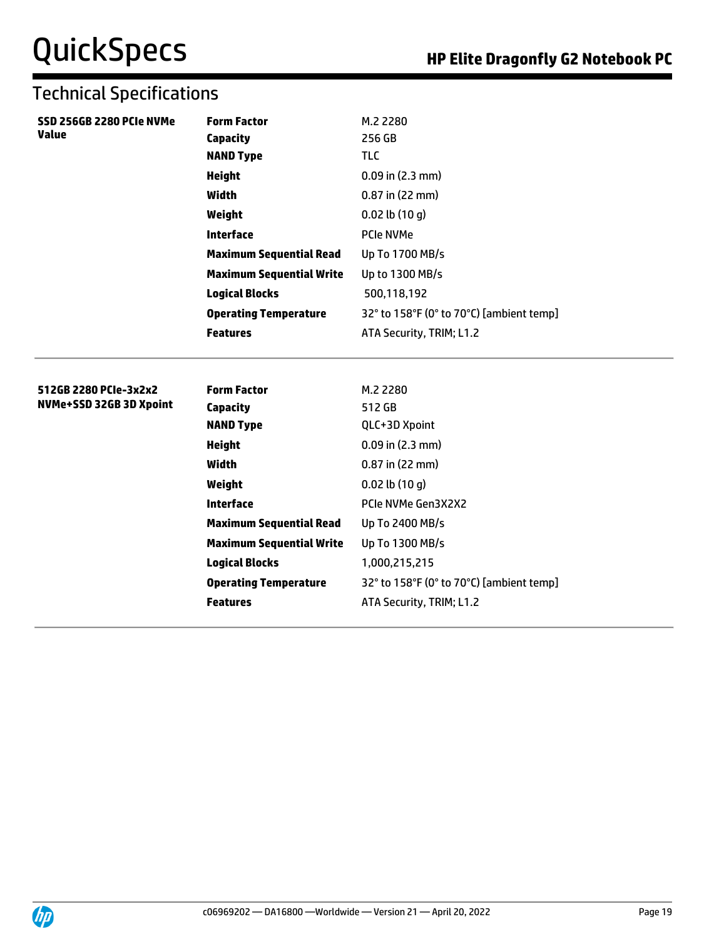| SSD 256GB 2280 PCIe NVMe                         | <b>Form Factor</b>              | M.2 2280                                 |
|--------------------------------------------------|---------------------------------|------------------------------------------|
| <b>Value</b>                                     | <b>Capacity</b>                 | 256 GB                                   |
|                                                  | <b>NAND Type</b>                | <b>TLC</b>                               |
|                                                  | <b>Height</b>                   | $0.09$ in $(2.3$ mm)                     |
|                                                  | Width                           | $0.87$ in (22 mm)                        |
|                                                  | Weight                          | $0.02$ lb $(10q)$                        |
|                                                  | <b>Interface</b>                | PCIe NVMe                                |
|                                                  | <b>Maximum Sequential Read</b>  | Up To 1700 MB/s                          |
|                                                  | <b>Maximum Sequential Write</b> | Up to 1300 MB/s                          |
|                                                  | <b>Logical Blocks</b>           | 500,118,192                              |
|                                                  | <b>Operating Temperature</b>    | 32° to 158°F (0° to 70°C) [ambient temp] |
|                                                  | <b>Features</b>                 | ATA Security, TRIM; L1.2                 |
|                                                  |                                 |                                          |
|                                                  |                                 |                                          |
| 512GB 2280 PCIe-3x2x2<br>NVMe+SSD 32GB 3D Xpoint | <b>Form Factor</b>              | M.2 2280                                 |
|                                                  | Capacity                        | 512 GB                                   |
|                                                  | <b>NAND Type</b>                | QLC+3D Xpoint                            |
|                                                  | <b>Height</b>                   | $0.09$ in $(2.3$ mm)                     |
|                                                  | Width                           | $0.87$ in (22 mm)                        |
|                                                  | Weight                          | $0.02$ lb $(10q)$                        |
|                                                  | <b>Interface</b>                | PCIe NVMe Gen3X2X2                       |
|                                                  | <b>Maximum Sequential Read</b>  | Up To 2400 MB/s                          |
|                                                  | <b>Maximum Sequential Write</b> | Up To 1300 MB/s                          |
|                                                  | <b>Logical Blocks</b>           | 1,000,215,215                            |
|                                                  | <b>Operating Temperature</b>    | 32° to 158°F (0° to 70°C) [ambient temp] |
|                                                  |                                 |                                          |
|                                                  | <b>Features</b>                 | ATA Security, TRIM; L1.2                 |

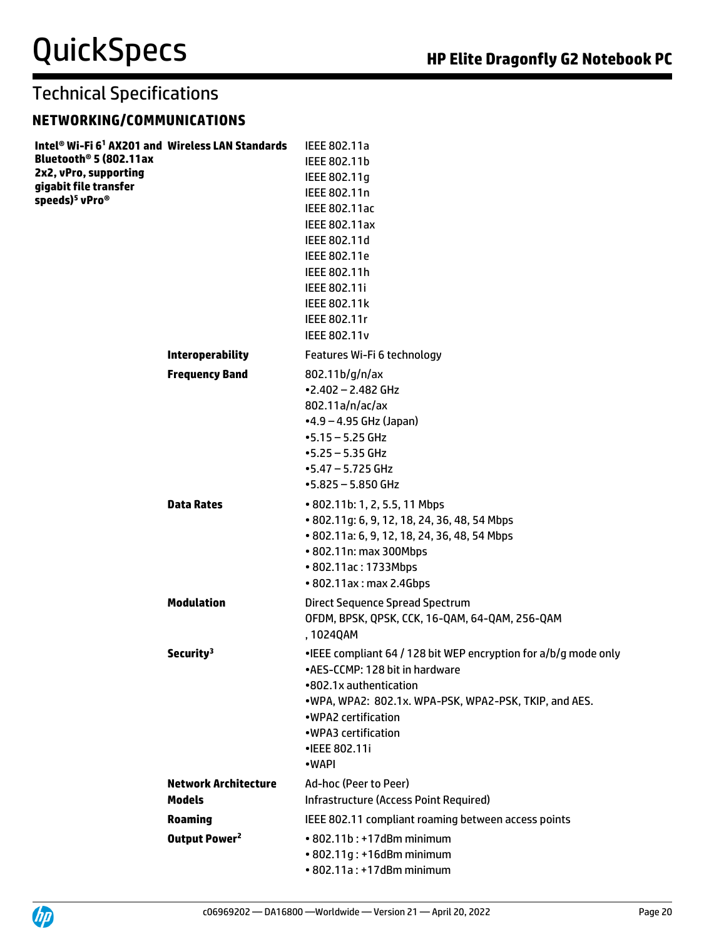#### **NETWORKING/COMMUNICATIONS**

| Intel® Wi-Fi 6 <sup>1</sup> AX201 and Wireless LAN Standards<br>Bluetooth <sup>®</sup> 5 (802.11ax<br>2x2, vPro, supporting<br>gigabit file transfer<br>speeds) <sup>5</sup> vPro <sup>®</sup> |                             | IEEE 802.11a<br>IEEE 802.11b<br>IEEE 802.11g<br>IEEE 802.11n<br>IEEE 802.11ac<br><b>IEEE 802.11ax</b><br>IEEE 802.11d<br>IEEE 802.11e<br>IEEE 802.11h<br>IEEE 802.11i<br>IEEE 802.11k<br>IEEE 802.11r<br><b>IEEE 802.11v</b>                                    |
|------------------------------------------------------------------------------------------------------------------------------------------------------------------------------------------------|-----------------------------|-----------------------------------------------------------------------------------------------------------------------------------------------------------------------------------------------------------------------------------------------------------------|
|                                                                                                                                                                                                | <b>Interoperability</b>     | Features Wi-Fi 6 technology                                                                                                                                                                                                                                     |
|                                                                                                                                                                                                | <b>Frequency Band</b>       | 802.11b/g/n/ax<br>$-2.402 - 2.482$ GHz<br>802.11a/n/ac/ax<br>$-4.9 - 4.95$ GHz (Japan)<br>$-5.15 - 5.25$ GHz<br>$-5.25 - 5.35$ GHz<br>$-5.47 - 5.725$ GHz<br>$-5.825 - 5.850$ GHz                                                                               |
|                                                                                                                                                                                                | <b>Data Rates</b>           | • 802.11b: 1, 2, 5.5, 11 Mbps<br>• 802.11g: 6, 9, 12, 18, 24, 36, 48, 54 Mbps<br>• 802.11a: 6, 9, 12, 18, 24, 36, 48, 54 Mbps<br>• 802.11n: max 300Mbps<br>• 802.11ac: 1733Mbps<br>• 802.11ax: max 2.4Gbps                                                      |
|                                                                                                                                                                                                | <b>Modulation</b>           | Direct Sequence Spread Spectrum<br>OFDM, BPSK, QPSK, CCK, 16-QAM, 64-QAM, 256-QAM<br>, 1024QAM                                                                                                                                                                  |
|                                                                                                                                                                                                | Security <sup>3</sup>       | . IEEE compliant 64 / 128 bit WEP encryption for a/b/g mode only<br>•AES-CCMP: 128 bit in hardware<br>•802.1x authentication<br>.WPA, WPA2: 802.1x. WPA-PSK, WPA2-PSK, TKIP, and AES.<br>• WPA2 certification<br>• WPA3 certification<br>•IEEE 802.11i<br>•WAPI |
|                                                                                                                                                                                                | <b>Network Architecture</b> | Ad-hoc (Peer to Peer)                                                                                                                                                                                                                                           |
|                                                                                                                                                                                                | <b>Models</b>               | Infrastructure (Access Point Required)                                                                                                                                                                                                                          |
|                                                                                                                                                                                                | <b>Roaming</b>              | IEEE 802.11 compliant roaming between access points                                                                                                                                                                                                             |
|                                                                                                                                                                                                | Output Power <sup>2</sup>   | • 802.11b: +17dBm minimum<br>• 802.11g: +16dBm minimum<br>• 802.11a: +17dBm minimum                                                                                                                                                                             |

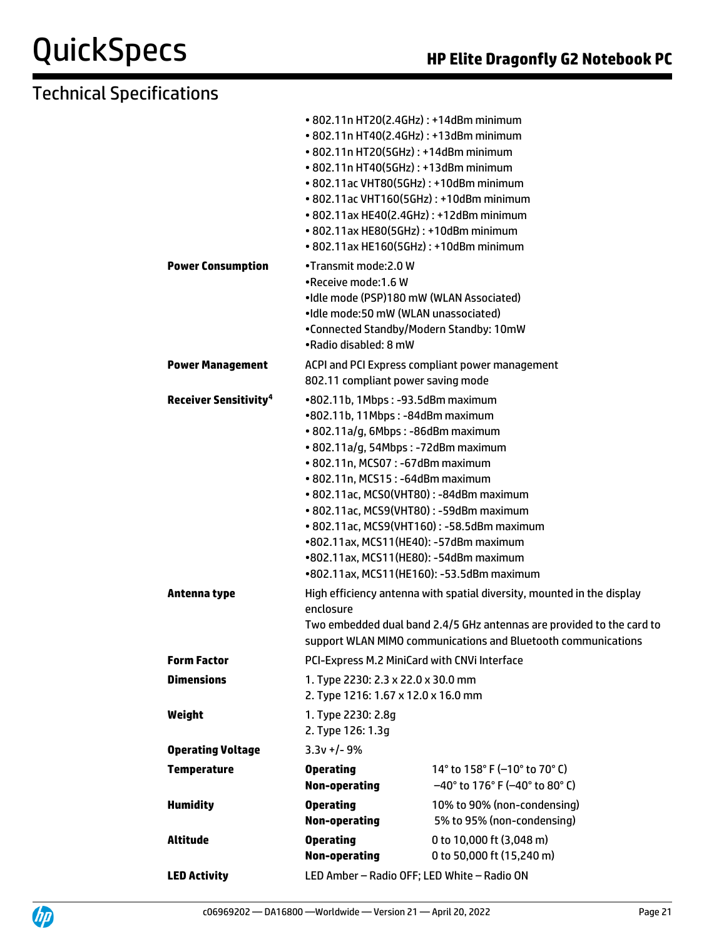|                                                         | • 802.11n HT20(2.4GHz): +14dBm minimum<br>• 802.11n HT40(2.4GHz): +13dBm minimum<br>• 802.11n HT20(5GHz): +14dBm minimum<br>• 802.11n HT40(5GHz): +13dBm minimum<br>• 802.11ac VHT80(5GHz): +10dBm minimum<br>• 802.11ac VHT160(5GHz): +10dBm minimum<br>• 802.11ax HE40(2.4GHz): +12dBm minimum<br>• 802.11ax HE80(5GHz): +10dBm minimum<br>• 802.11ax HE160(5GHz): +10dBm minimum                                                                                                             |                                                                                    |
|---------------------------------------------------------|-------------------------------------------------------------------------------------------------------------------------------------------------------------------------------------------------------------------------------------------------------------------------------------------------------------------------------------------------------------------------------------------------------------------------------------------------------------------------------------------------|------------------------------------------------------------------------------------|
| <b>Power Consumption</b>                                | •Transmit mode: 2.0 W<br>.Receive mode:1.6 W<br>•Idle mode (PSP)180 mW (WLAN Associated)<br>•Idle mode:50 mW (WLAN unassociated)<br>•Connected Standby/Modern Standby: 10mW<br>•Radio disabled: 8 mW                                                                                                                                                                                                                                                                                            |                                                                                    |
| <b>Power Management</b>                                 | 802.11 compliant power saving mode                                                                                                                                                                                                                                                                                                                                                                                                                                                              | ACPI and PCI Express compliant power management                                    |
| <b>Receiver Sensitivity<sup>4</sup></b><br>Antenna type | •802.11b, 1Mbps: -93.5dBm maximum<br>•802.11b, 11Mbps: -84dBm maximum<br>• 802.11a/g, 6Mbps: -86dBm maximum<br>· 802.11a/g, 54Mbps: -72dBm maximum<br>• 802.11n, MCS07: -67dBm maximum<br>• 802.11n, MCS15: -64dBm maximum<br>• 802.11ac, MCS0(VHT80): -84dBm maximum<br>• 802.11ac, MCS9(VHT80): -59dBm maximum<br>• 802.11ac, MCS9(VHT160): -58.5dBm maximum<br>•802.11ax, MCS11(HE40): -57dBm maximum<br>•802.11ax, MCS11(HE80): -54dBm maximum<br>•802.11ax, MCS11(HE160): -53.5dBm maximum |                                                                                    |
|                                                         | High efficiency antenna with spatial diversity, mounted in the display<br>enclosure<br>Two embedded dual band 2.4/5 GHz antennas are provided to the card to<br>support WLAN MIMO communications and Bluetooth communications                                                                                                                                                                                                                                                                   |                                                                                    |
| <b>Form Factor</b>                                      | PCI-Express M.2 MiniCard with CNVi Interface                                                                                                                                                                                                                                                                                                                                                                                                                                                    |                                                                                    |
| <b>Dimensions</b>                                       | 1. Type 2230: 2.3 x 22.0 x 30.0 mm<br>2. Type 1216: 1.67 x 12.0 x 16.0 mm                                                                                                                                                                                                                                                                                                                                                                                                                       |                                                                                    |
| Weight                                                  | 1. Type 2230: 2.8g<br>2. Type 126: 1.3g                                                                                                                                                                                                                                                                                                                                                                                                                                                         |                                                                                    |
| <b>Operating Voltage</b>                                | $3.3v +/- 9%$                                                                                                                                                                                                                                                                                                                                                                                                                                                                                   |                                                                                    |
| <b>Temperature</b>                                      | <b>Operating</b><br><b>Non-operating</b>                                                                                                                                                                                                                                                                                                                                                                                                                                                        | 14° to 158° F (-10° to 70° C)<br>$-40^{\circ}$ to 176° F ( $-40^{\circ}$ to 80° C) |
| <b>Humidity</b>                                         | <b>Operating</b><br><b>Non-operating</b>                                                                                                                                                                                                                                                                                                                                                                                                                                                        | 10% to 90% (non-condensing)<br>5% to 95% (non-condensing)                          |
| <b>Altitude</b>                                         | <b>Operating</b><br><b>Non-operating</b>                                                                                                                                                                                                                                                                                                                                                                                                                                                        | 0 to 10,000 ft (3,048 m)<br>0 to 50,000 ft (15,240 m)                              |
| <b>LED Activity</b>                                     | LED Amber - Radio OFF; LED White - Radio ON                                                                                                                                                                                                                                                                                                                                                                                                                                                     |                                                                                    |
|                                                         |                                                                                                                                                                                                                                                                                                                                                                                                                                                                                                 |                                                                                    |

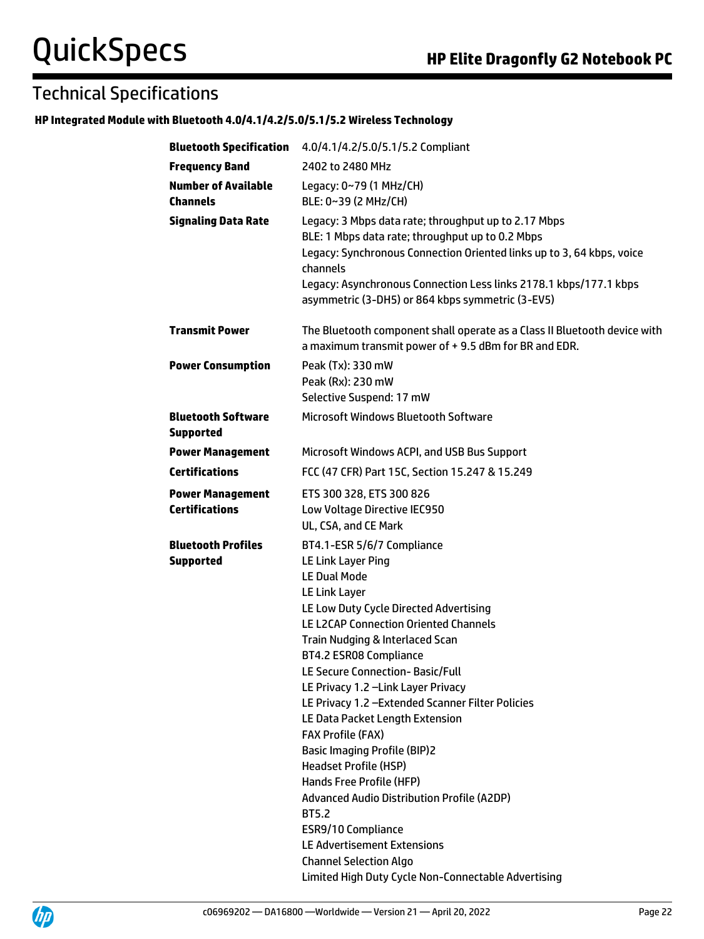#### **HP Integrated Module with Bluetooth 4.0/4.1/4.2/5.0/5.1/5.2 Wireless Technology**

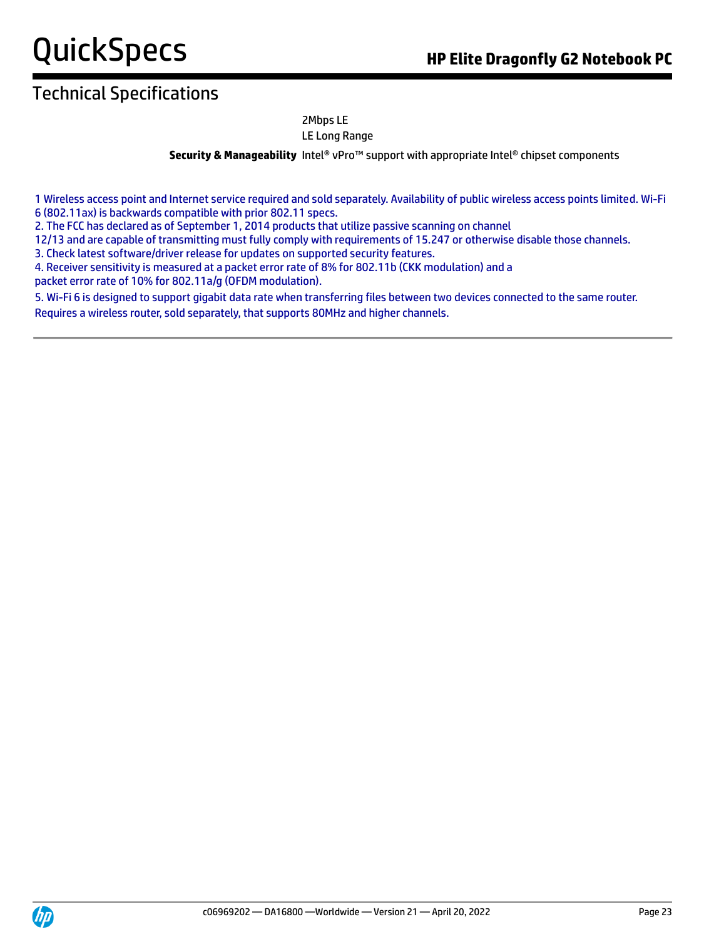## Technical Specifications

#### 2Mbps LE LE Long Range

**Security & Manageability** Intel® vPro™ support with appropriate Intel® chipset components

1 Wireless access point and Internet service required and sold separately. Availability of public wireless access points limited. Wi-Fi 6 (802.11ax) is backwards compatible with prior 802.11 specs.

2. The FCC has declared as of September 1, 2014 products that utilize passive scanning on channel

12/13 and are capable of transmitting must fully comply with requirements of 15.247 or otherwise disable those channels.

3. Check latest software/driver release for updates on supported security features.

4. Receiver sensitivity is measured at a packet error rate of 8% for 802.11b (CKK modulation) and a packet error rate of 10% for 802.11a/g (OFDM modulation).

5. Wi-Fi 6 is designed to support gigabit data rate when transferring files between two devices connected to the same router. Requires a wireless router, sold separately, that supports 80MHz and higher channels.

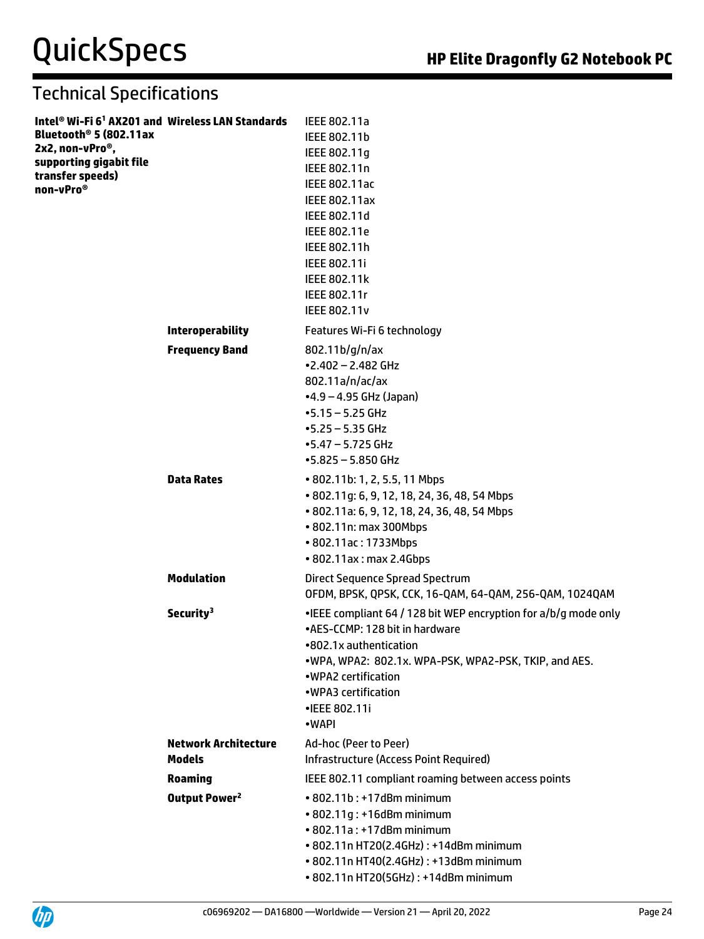| Intel® Wi-Fi 6 <sup>1</sup> AX201 and Wireless LAN Standards<br>Bluetooth <sup>®</sup> 5 (802.11ax<br>2x2, non-vPro <sup>®</sup> ,<br>supporting gigabit file<br>transfer speeds)<br>non-vPro® |                                              | IEEE 802.11a<br>IEEE 802.11b<br>IEEE 802.11g<br>IEEE 802.11n<br>IEEE 802.11ac<br><b>IEEE 802.11ax</b><br>IEEE 802.11d<br>IEEE 802.11e<br>IEEE 802.11h<br>IEEE 802.11i<br><b>IEEE 802.11k</b><br>IEEE 802.11r<br><b>IEEE 802.11v</b>                           |
|------------------------------------------------------------------------------------------------------------------------------------------------------------------------------------------------|----------------------------------------------|---------------------------------------------------------------------------------------------------------------------------------------------------------------------------------------------------------------------------------------------------------------|
|                                                                                                                                                                                                | <b>Interoperability</b>                      | Features Wi-Fi 6 technology                                                                                                                                                                                                                                   |
|                                                                                                                                                                                                | <b>Frequency Band</b>                        | 802.11b/g/n/ax<br>$-2.402 - 2.482$ GHz<br>802.11a/n/ac/ax<br>$-4.9 - 4.95$ GHz (Japan)<br>$-5.15 - 5.25$ GHz<br>$-5.25 - 5.35$ GHz<br>$-5.47 - 5.725$ GHz<br>$-5.825 - 5.850$ GHz                                                                             |
|                                                                                                                                                                                                | <b>Data Rates</b>                            | • 802.11b: 1, 2, 5.5, 11 Mbps<br>• 802.11g: 6, 9, 12, 18, 24, 36, 48, 54 Mbps<br>• 802.11a: 6, 9, 12, 18, 24, 36, 48, 54 Mbps<br>• 802.11n: max 300Mbps<br>• 802.11ac: 1733Mbps<br>• 802.11ax: max 2.4Gbps                                                    |
|                                                                                                                                                                                                | <b>Modulation</b>                            | Direct Sequence Spread Spectrum<br>OFDM, BPSK, QPSK, CCK, 16-QAM, 64-QAM, 256-QAM, 1024QAM                                                                                                                                                                    |
|                                                                                                                                                                                                | Security <sup>3</sup>                        | . IEEE compliant 64 / 128 bit WEP encryption for a/b/g mode only<br>•AES-CCMP: 128 bit in hardware<br>•802.1x authentication<br>.WPA, WPA2: 802.1x. WPA-PSK, WPA2-PSK, TKIP, and AES.<br>•WPA2 certification<br>•WPA3 certification<br>•IEEE 802.11i<br>•WAPI |
|                                                                                                                                                                                                | <b>Network Architecture</b><br><b>Models</b> | Ad-hoc (Peer to Peer)<br>Infrastructure (Access Point Required)                                                                                                                                                                                               |
|                                                                                                                                                                                                | <b>Roaming</b>                               | IEEE 802.11 compliant roaming between access points                                                                                                                                                                                                           |
|                                                                                                                                                                                                | Output Power <sup>2</sup>                    | • 802.11b: +17dBm minimum<br>• 802.11g: +16dBm minimum<br>• 802.11a: +17dBm minimum<br>• 802.11n HT20(2.4GHz): +14dBm minimum<br>• 802.11n HT40(2.4GHz): +13dBm minimum<br>• 802.11n HT20(5GHz): +14dBm minimum                                               |

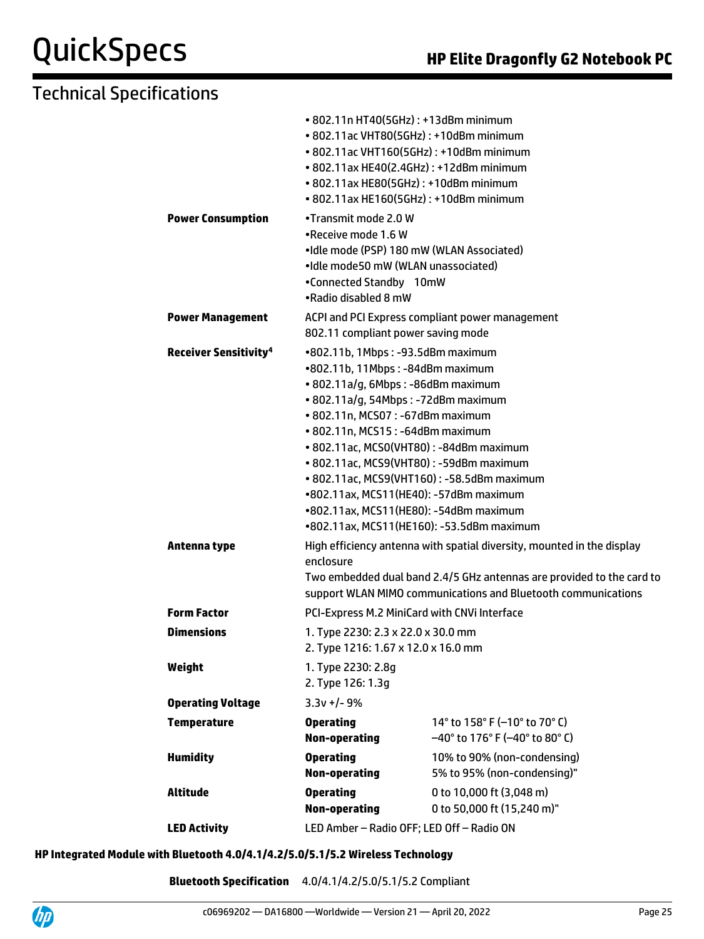## Technical Specifications

|                                         | • 802.11n HT40(5GHz): +13dBm minimum<br>• 802.11ac VHT80(5GHz): +10dBm minimum |                                                                        |  |
|-----------------------------------------|--------------------------------------------------------------------------------|------------------------------------------------------------------------|--|
|                                         | • 802.11ac VHT160(5GHz): +10dBm minimum                                        |                                                                        |  |
|                                         | • 802.11ax HE40(2.4GHz): +12dBm minimum                                        |                                                                        |  |
|                                         | • 802.11ax HE80(5GHz): +10dBm minimum                                          |                                                                        |  |
|                                         | • 802.11ax HE160(5GHz): +10dBm minimum                                         |                                                                        |  |
|                                         |                                                                                |                                                                        |  |
| <b>Power Consumption</b>                | •Transmit mode 2.0 W                                                           |                                                                        |  |
|                                         | •Receive mode 1.6 W<br>•Idle mode (PSP) 180 mW (WLAN Associated)               |                                                                        |  |
|                                         | •Idle mode50 mW (WLAN unassociated)                                            |                                                                        |  |
|                                         | •Connected Standby 10mW                                                        |                                                                        |  |
|                                         | •Radio disabled 8 mW                                                           |                                                                        |  |
|                                         |                                                                                |                                                                        |  |
| <b>Power Management</b>                 | 802.11 compliant power saving mode                                             | ACPI and PCI Express compliant power management                        |  |
|                                         |                                                                                |                                                                        |  |
| <b>Receiver Sensitivity<sup>4</sup></b> | •802.11b, 1Mbps: -93.5dBm maximum                                              |                                                                        |  |
|                                         | •802.11b, 11Mbps: -84dBm maximum                                               |                                                                        |  |
|                                         | · 802.11a/g, 6Mbps: -86dBm maximum                                             |                                                                        |  |
|                                         | • 802.11a/g, 54Mbps: -72dBm maximum<br>• 802.11n, MCS07: -67dBm maximum        |                                                                        |  |
|                                         |                                                                                |                                                                        |  |
|                                         | • 802.11n, MCS15: -64dBm maximum<br>• 802.11ac, MCS0(VHT80): -84dBm maximum    |                                                                        |  |
|                                         | • 802.11ac, MCS9(VHT80): -59dBm maximum                                        |                                                                        |  |
|                                         |                                                                                | • 802.11ac, MCS9(VHT160): -58.5dBm maximum                             |  |
|                                         | •802.11ax, MCS11(HE40): -57dBm maximum                                         |                                                                        |  |
|                                         | •802.11ax, MCS11(HE80): -54dBm maximum                                         |                                                                        |  |
|                                         | •802.11ax, MCS11(HE160): -53.5dBm maximum                                      |                                                                        |  |
| Antenna type                            |                                                                                | High efficiency antenna with spatial diversity, mounted in the display |  |
|                                         | enclosure                                                                      |                                                                        |  |
|                                         | Two embedded dual band 2.4/5 GHz antennas are provided to the card to          |                                                                        |  |
|                                         | support WLAN MIMO communications and Bluetooth communications                  |                                                                        |  |
| <b>Form Factor</b>                      | PCI-Express M.2 MiniCard with CNVi Interface                                   |                                                                        |  |
|                                         |                                                                                |                                                                        |  |
| <b>Dimensions</b>                       | 1. Type 2230: 2.3 x 22.0 x 30.0 mm<br>2. Type 1216: 1.67 x 12.0 x 16.0 mm      |                                                                        |  |
|                                         |                                                                                |                                                                        |  |
| Weight                                  | 1. Type 2230: 2.8g                                                             |                                                                        |  |
|                                         | 2. Type 126: 1.3g                                                              |                                                                        |  |
| <b>Operating Voltage</b>                | $3.3v +/- 9%$                                                                  |                                                                        |  |
| <b>Temperature</b>                      | <b>Operating</b>                                                               | 14 $\degree$ to 158 $\degree$ F (-10 $\degree$ to 70 $\degree$ C)      |  |
|                                         | <b>Non-operating</b>                                                           | $-40^{\circ}$ to 176° F (-40° to 80° C)                                |  |
| <b>Humidity</b>                         | <b>Operating</b>                                                               | 10% to 90% (non-condensing)                                            |  |
|                                         | <b>Non-operating</b>                                                           | 5% to 95% (non-condensing)"                                            |  |
| <b>Altitude</b>                         | <b>Operating</b>                                                               | 0 to 10,000 ft (3,048 m)                                               |  |
|                                         | <b>Non-operating</b>                                                           | 0 to 50,000 ft (15,240 m)"                                             |  |
| <b>LED Activity</b>                     | LED Amber - Radio OFF; LED Off - Radio ON                                      |                                                                        |  |
|                                         |                                                                                |                                                                        |  |

#### **HP Integrated Module with Bluetooth 4.0/4.1/4.2/5.0/5.1/5.2 Wireless Technology**

**Bluetooth Specification** 4.0/4.1/4.2/5.0/5.1/5.2 Compliant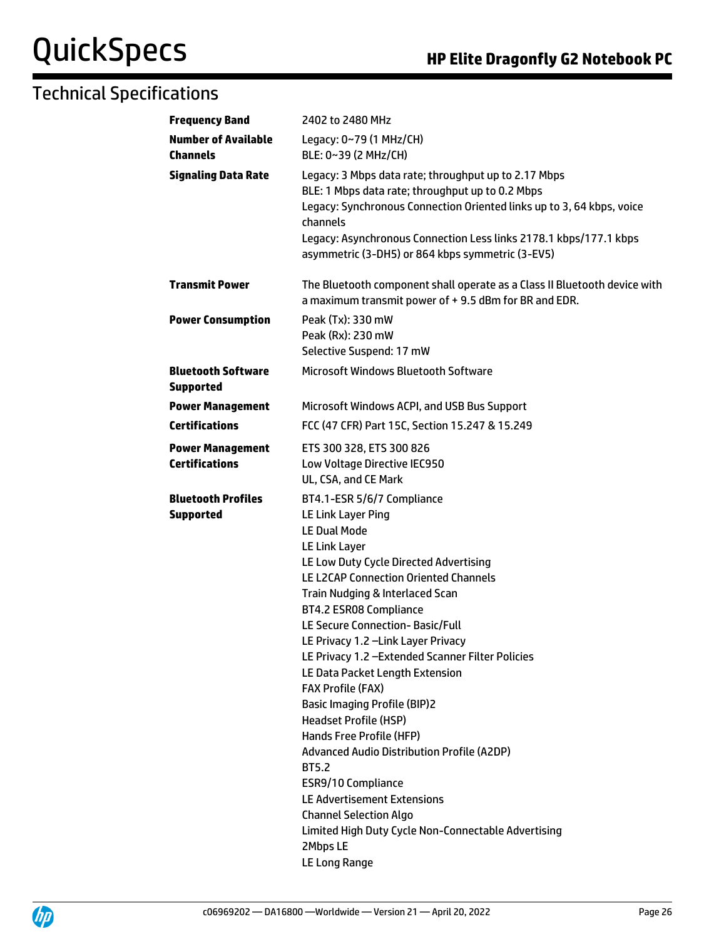| <b>Frequency Band</b>                            | 2402 to 2480 MHz                                                                                                                                                                                                                                                                                                                                                                                                                                                                                                                                                                                                                                                                                                                                                                                        |
|--------------------------------------------------|---------------------------------------------------------------------------------------------------------------------------------------------------------------------------------------------------------------------------------------------------------------------------------------------------------------------------------------------------------------------------------------------------------------------------------------------------------------------------------------------------------------------------------------------------------------------------------------------------------------------------------------------------------------------------------------------------------------------------------------------------------------------------------------------------------|
| <b>Number of Available</b><br><b>Channels</b>    | Legacy: 0~79 (1 MHz/CH)<br>BLE: 0~39 (2 MHz/CH)                                                                                                                                                                                                                                                                                                                                                                                                                                                                                                                                                                                                                                                                                                                                                         |
| <b>Signaling Data Rate</b>                       | Legacy: 3 Mbps data rate; throughput up to 2.17 Mbps<br>BLE: 1 Mbps data rate; throughput up to 0.2 Mbps<br>Legacy: Synchronous Connection Oriented links up to 3, 64 kbps, voice<br>channels<br>Legacy: Asynchronous Connection Less links 2178.1 kbps/177.1 kbps<br>asymmetric (3-DH5) or 864 kbps symmetric (3-EV5)                                                                                                                                                                                                                                                                                                                                                                                                                                                                                  |
| <b>Transmit Power</b>                            | The Bluetooth component shall operate as a Class II Bluetooth device with<br>a maximum transmit power of +9.5 dBm for BR and EDR.                                                                                                                                                                                                                                                                                                                                                                                                                                                                                                                                                                                                                                                                       |
| <b>Power Consumption</b>                         | Peak (Tx): 330 mW<br>Peak (Rx): 230 mW<br>Selective Suspend: 17 mW                                                                                                                                                                                                                                                                                                                                                                                                                                                                                                                                                                                                                                                                                                                                      |
| <b>Bluetooth Software</b><br><b>Supported</b>    | Microsoft Windows Bluetooth Software                                                                                                                                                                                                                                                                                                                                                                                                                                                                                                                                                                                                                                                                                                                                                                    |
| <b>Power Management</b>                          | Microsoft Windows ACPI, and USB Bus Support                                                                                                                                                                                                                                                                                                                                                                                                                                                                                                                                                                                                                                                                                                                                                             |
| <b>Certifications</b>                            | FCC (47 CFR) Part 15C, Section 15.247 & 15.249                                                                                                                                                                                                                                                                                                                                                                                                                                                                                                                                                                                                                                                                                                                                                          |
| <b>Power Management</b><br><b>Certifications</b> | ETS 300 328, ETS 300 826<br>Low Voltage Directive IEC950<br>UL, CSA, and CE Mark                                                                                                                                                                                                                                                                                                                                                                                                                                                                                                                                                                                                                                                                                                                        |
| <b>Bluetooth Profiles</b><br><b>Supported</b>    | BT4.1-ESR 5/6/7 Compliance<br>LE Link Layer Ping<br><b>LE Dual Mode</b><br>LE Link Layer<br>LE Low Duty Cycle Directed Advertising<br>LE L2CAP Connection Oriented Channels<br>Train Nudging & Interlaced Scan<br><b>BT4.2 ESR08 Compliance</b><br>LE Secure Connection- Basic/Full<br>LE Privacy 1.2 - Link Layer Privacy<br>LE Privacy 1.2 - Extended Scanner Filter Policies<br>LE Data Packet Length Extension<br><b>FAX Profile (FAX)</b><br><b>Basic Imaging Profile (BIP)2</b><br><b>Headset Profile (HSP)</b><br>Hands Free Profile (HFP)<br><b>Advanced Audio Distribution Profile (A2DP)</b><br><b>BT5.2</b><br>ESR9/10 Compliance<br><b>LE Advertisement Extensions</b><br><b>Channel Selection Algo</b><br>Limited High Duty Cycle Non-Connectable Advertising<br>2Mbps LE<br>LE Long Range |

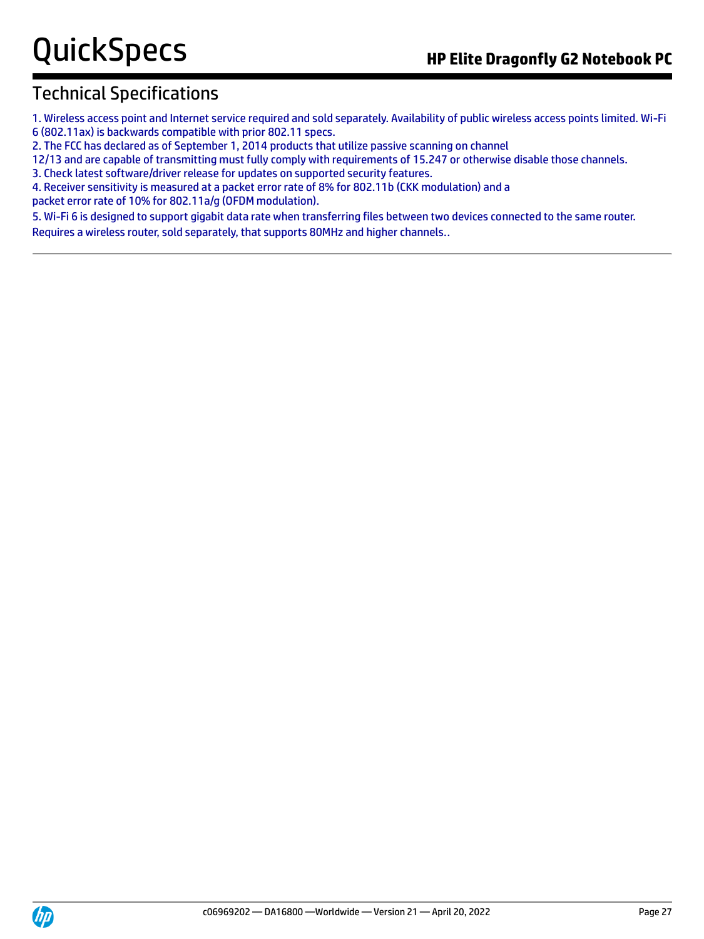1. Wireless access point and Internet service required and sold separately. Availability of public wireless access points limited. Wi-Fi 6 (802.11ax) is backwards compatible with prior 802.11 specs.

2. The FCC has declared as of September 1, 2014 products that utilize passive scanning on channel

12/13 and are capable of transmitting must fully comply with requirements of 15.247 or otherwise disable those channels.

3. Check latest software/driver release for updates on supported security features.

4. Receiver sensitivity is measured at a packet error rate of 8% for 802.11b (CKK modulation) and a

packet error rate of 10% for 802.11a/g (OFDM modulation).

5. Wi-Fi 6 is designed to support gigabit data rate when transferring files between two devices connected to the same router. Requires a wireless router, sold separately, that supports 80MHz and higher channels..

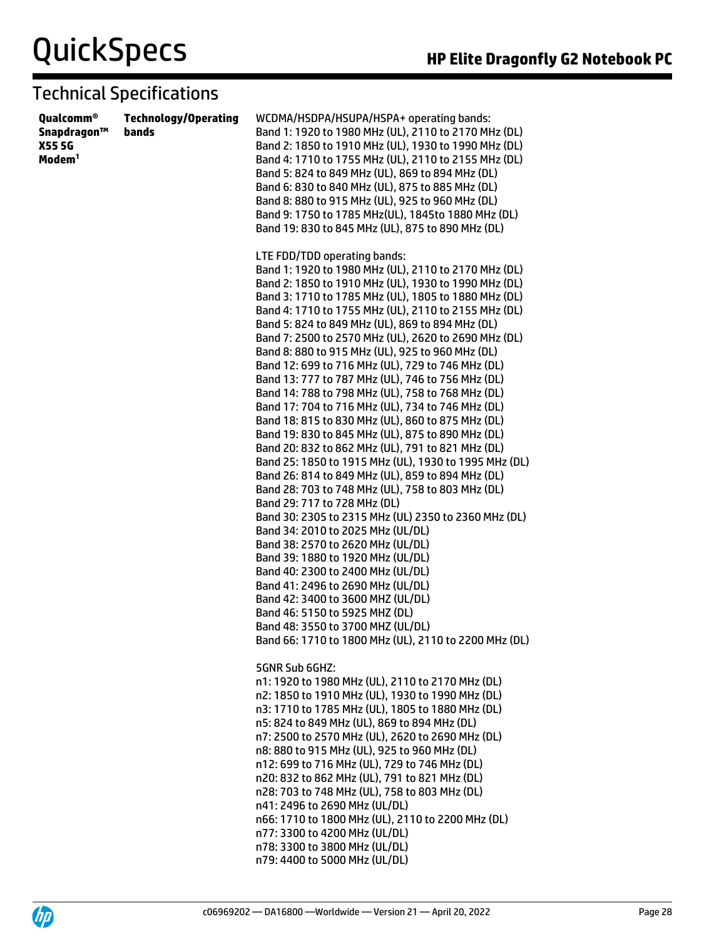| Qualcomm®<br>Snapdragon™<br>X55 5G<br>Modem <sup>1</sup> | <b>Technology/Operating</b><br>bands | WCDMA/HSDPA/HSUPA/HSPA+ operating bands:<br>Band 1: 1920 to 1980 MHz (UL), 2110 to 2170 MHz (DL)<br>Band 2: 1850 to 1910 MHz (UL), 1930 to 1990 MHz (DL)<br>Band 4: 1710 to 1755 MHz (UL), 2110 to 2155 MHz (DL)<br>Band 5: 824 to 849 MHz (UL), 869 to 894 MHz (DL)<br>Band 6: 830 to 840 MHz (UL), 875 to 885 MHz (DL)<br>Band 8: 880 to 915 MHz (UL), 925 to 960 MHz (DL)<br>Band 9: 1750 to 1785 MHz(UL), 1845to 1880 MHz (DL)<br>Band 19: 830 to 845 MHz (UL), 875 to 890 MHz (DL)                                                                                                                                                                                                                                                                                                                                                                                                                                                                                                                                                                                                                                                                                                                                                                                                                                                                                                                                                  |
|----------------------------------------------------------|--------------------------------------|------------------------------------------------------------------------------------------------------------------------------------------------------------------------------------------------------------------------------------------------------------------------------------------------------------------------------------------------------------------------------------------------------------------------------------------------------------------------------------------------------------------------------------------------------------------------------------------------------------------------------------------------------------------------------------------------------------------------------------------------------------------------------------------------------------------------------------------------------------------------------------------------------------------------------------------------------------------------------------------------------------------------------------------------------------------------------------------------------------------------------------------------------------------------------------------------------------------------------------------------------------------------------------------------------------------------------------------------------------------------------------------------------------------------------------------|
|                                                          |                                      | LTE FDD/TDD operating bands:<br>Band 1: 1920 to 1980 MHz (UL), 2110 to 2170 MHz (DL)<br>Band 2: 1850 to 1910 MHz (UL), 1930 to 1990 MHz (DL)<br>Band 3: 1710 to 1785 MHz (UL), 1805 to 1880 MHz (DL)<br>Band 4: 1710 to 1755 MHz (UL), 2110 to 2155 MHz (DL)<br>Band 5: 824 to 849 MHz (UL), 869 to 894 MHz (DL)<br>Band 7: 2500 to 2570 MHz (UL), 2620 to 2690 MHz (DL)<br>Band 8: 880 to 915 MHz (UL), 925 to 960 MHz (DL)<br>Band 12: 699 to 716 MHz (UL), 729 to 746 MHz (DL)<br>Band 13: 777 to 787 MHz (UL), 746 to 756 MHz (DL)<br>Band 14: 788 to 798 MHz (UL), 758 to 768 MHz (DL)<br>Band 17: 704 to 716 MHz (UL), 734 to 746 MHz (DL)<br>Band 18: 815 to 830 MHz (UL), 860 to 875 MHz (DL)<br>Band 19: 830 to 845 MHz (UL), 875 to 890 MHz (DL)<br>Band 20: 832 to 862 MHz (UL), 791 to 821 MHz (DL)<br>Band 25: 1850 to 1915 MHz (UL), 1930 to 1995 MHz (DL)<br>Band 26: 814 to 849 MHz (UL), 859 to 894 MHz (DL)<br>Band 28: 703 to 748 MHz (UL), 758 to 803 MHz (DL)<br>Band 29: 717 to 728 MHz (DL)<br>Band 30: 2305 to 2315 MHz (UL) 2350 to 2360 MHz (DL)<br>Band 34: 2010 to 2025 MHz (UL/DL)<br>Band 38: 2570 to 2620 MHz (UL/DL)<br>Band 39: 1880 to 1920 MHz (UL/DL)<br>Band 40: 2300 to 2400 MHz (UL/DL)<br>Band 41: 2496 to 2690 MHz (UL/DL)<br>Band 42: 3400 to 3600 MHZ (UL/DL)<br>Band 46: 5150 to 5925 MHZ (DL)<br>Band 48: 3550 to 3700 MHZ (UL/DL)<br>Band 66: 1710 to 1800 MHz (UL), 2110 to 2200 MHz (DL) |
|                                                          |                                      | 5GNR Sub 6GHZ:<br>n1: 1920 to 1980 MHz (UL), 2110 to 2170 MHz (DL)<br>n2: 1850 to 1910 MHz (UL), 1930 to 1990 MHz (DL)<br>n3: 1710 to 1785 MHz (UL), 1805 to 1880 MHz (DL)<br>n5: 824 to 849 MHz (UL), 869 to 894 MHz (DL)<br>n7: 2500 to 2570 MHz (UL), 2620 to 2690 MHz (DL)<br>n8: 880 to 915 MHz (UL), 925 to 960 MHz (DL)<br>n12: 699 to 716 MHz (UL), 729 to 746 MHz (DL)<br>n20: 832 to 862 MHz (UL), 791 to 821 MHz (DL)<br>n28: 703 to 748 MHz (UL), 758 to 803 MHz (DL)<br>n41: 2496 to 2690 MHz (UL/DL)<br>n66: 1710 to 1800 MHz (UL), 2110 to 2200 MHz (DL)<br>n77: 3300 to 4200 MHz (UL/DL)<br>n78: 3300 to 3800 MHz (UL/DL)<br>n79: 4400 to 5000 MHz (UL/DL)                                                                                                                                                                                                                                                                                                                                                                                                                                                                                                                                                                                                                                                                                                                                                               |

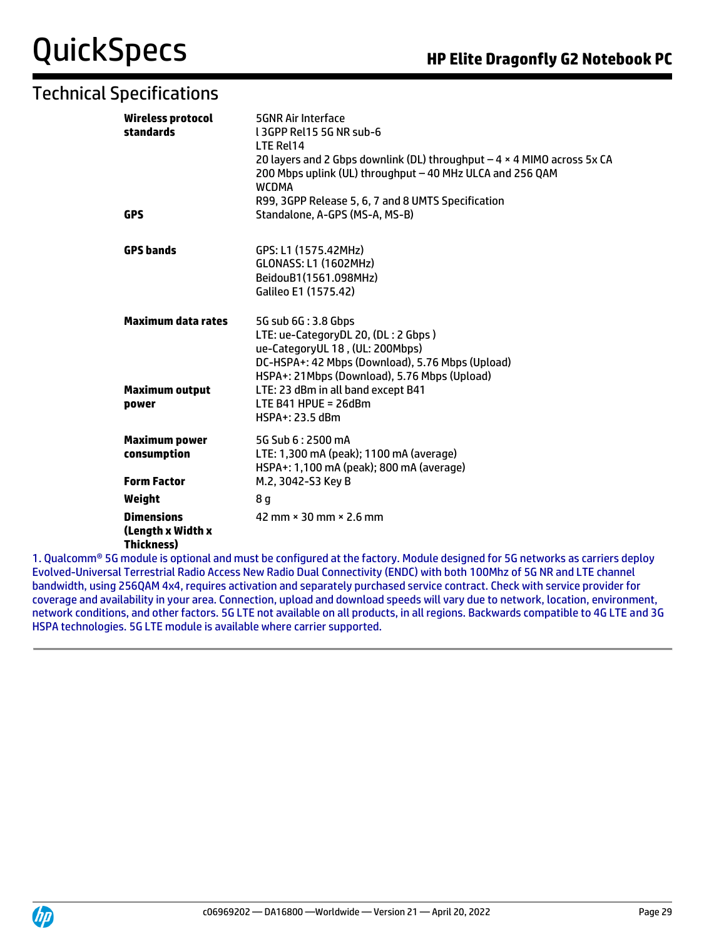| Wireless protocol<br>standards                              | <b>5GNR Air Interface</b><br>L3GPP Rel15 5G NR sub-6<br>LTE Rel14<br>20 layers and 2 Gbps downlink (DL) throughput $-4 \times 4$ MIMO across 5x CA<br>200 Mbps uplink (UL) throughput - 40 MHz ULCA and 256 QAM<br><b>WCDMA</b>                                                      |
|-------------------------------------------------------------|--------------------------------------------------------------------------------------------------------------------------------------------------------------------------------------------------------------------------------------------------------------------------------------|
| GPS                                                         | R99, 3GPP Release 5, 6, 7 and 8 UMTS Specification<br>Standalone, A-GPS (MS-A, MS-B)                                                                                                                                                                                                 |
| <b>GPS bands</b>                                            | GPS: L1 (1575.42MHz)<br><b>GLONASS: L1 (1602MHz)</b><br>BeidouB1(1561.098MHz)<br>Galileo E1 (1575.42)                                                                                                                                                                                |
| <b>Maximum data rates</b><br><b>Maximum output</b><br>power | 5G sub 6G: 3.8 Gbps<br>LTE: ue-CategoryDL 20, (DL: 2 Gbps)<br>ue-CategoryUL 18, (UL: 200Mbps)<br>DC-HSPA+: 42 Mbps (Download), 5.76 Mbps (Upload)<br>HSPA+: 21Mbps (Download), 5.76 Mbps (Upload)<br>LTE: 23 dBm in all band except B41<br>LTE B41 HPUE = $26dBm$<br>HSPA+: 23.5 dBm |
| <b>Maximum power</b><br>consumption<br><b>Form Factor</b>   | 5G Sub 6:2500 mA<br>LTE: 1,300 mA (peak); 1100 mA (average)<br>HSPA+: 1,100 mA (peak); 800 mA (average)<br>M.2, 3042-S3 Key B                                                                                                                                                        |
| Weight                                                      | 8 g                                                                                                                                                                                                                                                                                  |
| <b>Dimensions</b><br>(Length x Width x<br><b>Thickness)</b> | 42 mm × 30 mm × 2.6 mm<br>eradula in patienal and musical la configurad at the factorus. Medula designed for EC noturedia no coniqu                                                                                                                                                  |

1. Qualcomm® 5G module is optional and must be configured at the factory. Module designed for 5G networks as carriers deploy Evolved-Universal Terrestrial Radio Access New Radio Dual Connectivity (ENDC) with both 100Mhz of 5G NR and LTE channel bandwidth, using 256QAM 4x4, requires activation and separately purchased service contract. Check with service provider for coverage and availability in your area. Connection, upload and download speeds will vary due to network, location, environment, network conditions, and other factors. 5G LTE not available on all products, in all regions. Backwards compatible to 4G LTE and 3G HSPA technologies. 5G LTE module is available where carrier supported.

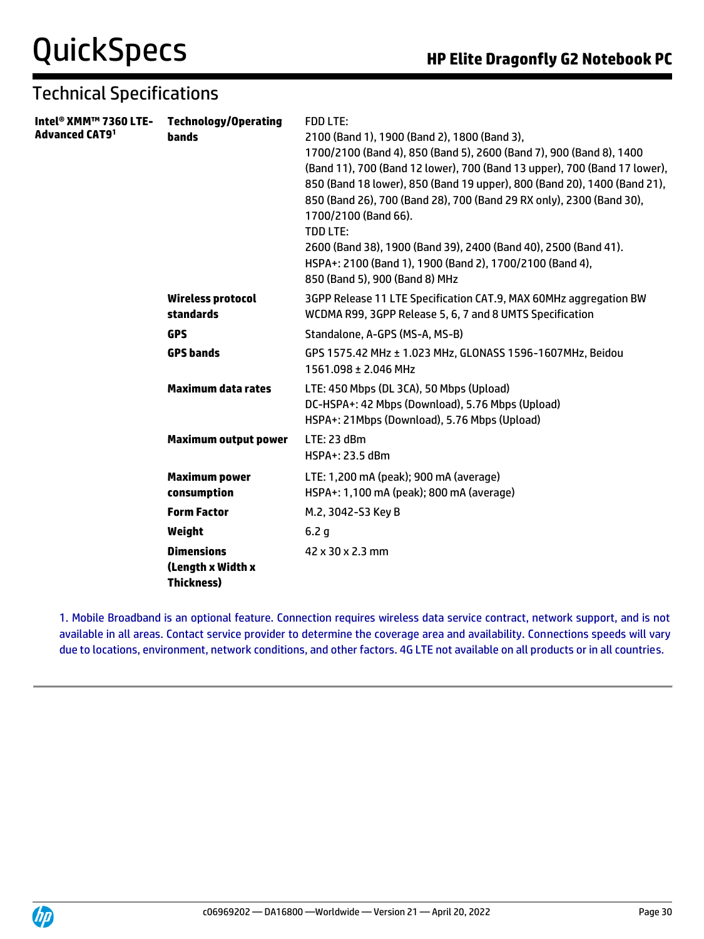| Intel® XMM™ 7360 LTE-<br>Advanced CAT9 <sup>1</sup> | <b>Technology/Operating</b><br>bands                        | <b>FDD LTE:</b><br>2100 (Band 1), 1900 (Band 2), 1800 (Band 3),<br>1700/2100 (Band 4), 850 (Band 5), 2600 (Band 7), 900 (Band 8), 1400<br>(Band 11), 700 (Band 12 lower), 700 (Band 13 upper), 700 (Band 17 lower),<br>850 (Band 18 lower), 850 (Band 19 upper), 800 (Band 20), 1400 (Band 21),<br>850 (Band 26), 700 (Band 28), 700 (Band 29 RX only), 2300 (Band 30),<br>1700/2100 (Band 66).<br><b>TDD LTE:</b><br>2600 (Band 38), 1900 (Band 39), 2400 (Band 40), 2500 (Band 41).<br>HSPA+: 2100 (Band 1), 1900 (Band 2), 1700/2100 (Band 4),<br>850 (Band 5), 900 (Band 8) MHz |
|-----------------------------------------------------|-------------------------------------------------------------|-------------------------------------------------------------------------------------------------------------------------------------------------------------------------------------------------------------------------------------------------------------------------------------------------------------------------------------------------------------------------------------------------------------------------------------------------------------------------------------------------------------------------------------------------------------------------------------|
|                                                     | <b>Wireless protocol</b><br>standards                       | 3GPP Release 11 LTE Specification CAT.9, MAX 60MHz aggregation BW<br>WCDMA R99, 3GPP Release 5, 6, 7 and 8 UMTS Specification                                                                                                                                                                                                                                                                                                                                                                                                                                                       |
|                                                     | <b>GPS</b>                                                  | Standalone, A-GPS (MS-A, MS-B)                                                                                                                                                                                                                                                                                                                                                                                                                                                                                                                                                      |
|                                                     | <b>GPS bands</b>                                            | GPS 1575.42 MHz ± 1.023 MHz, GLONASS 1596-1607MHz, Beidou<br>1561.098 ± 2.046 MHz                                                                                                                                                                                                                                                                                                                                                                                                                                                                                                   |
|                                                     | <b>Maximum data rates</b>                                   | LTE: 450 Mbps (DL 3CA), 50 Mbps (Upload)<br>DC-HSPA+: 42 Mbps (Download), 5.76 Mbps (Upload)<br>HSPA+: 21Mbps (Download), 5.76 Mbps (Upload)                                                                                                                                                                                                                                                                                                                                                                                                                                        |
|                                                     | <b>Maximum output power</b>                                 | LTE: 23 dBm<br>HSPA+: 23.5 dBm                                                                                                                                                                                                                                                                                                                                                                                                                                                                                                                                                      |
|                                                     | <b>Maximum power</b><br>consumption                         | LTE: 1,200 mA (peak); 900 mA (average)<br>HSPA+: 1,100 mA (peak); 800 mA (average)                                                                                                                                                                                                                                                                                                                                                                                                                                                                                                  |
|                                                     | <b>Form Factor</b>                                          | M.2, 3042-S3 Key B                                                                                                                                                                                                                                                                                                                                                                                                                                                                                                                                                                  |
|                                                     | Weight                                                      | 6.2 <sub>g</sub>                                                                                                                                                                                                                                                                                                                                                                                                                                                                                                                                                                    |
|                                                     | <b>Dimensions</b><br>(Length x Width x<br><b>Thickness)</b> | 42 x 30 x 2.3 mm                                                                                                                                                                                                                                                                                                                                                                                                                                                                                                                                                                    |

1. Mobile Broadband is an optional feature. Connection requires wireless data service contract, network support, and is not available in all areas. Contact service provider to determine the coverage area and availability. Connections speeds will vary due to locations, environment, network conditions, and other factors. 4G LTE not available on all products or in all countries.

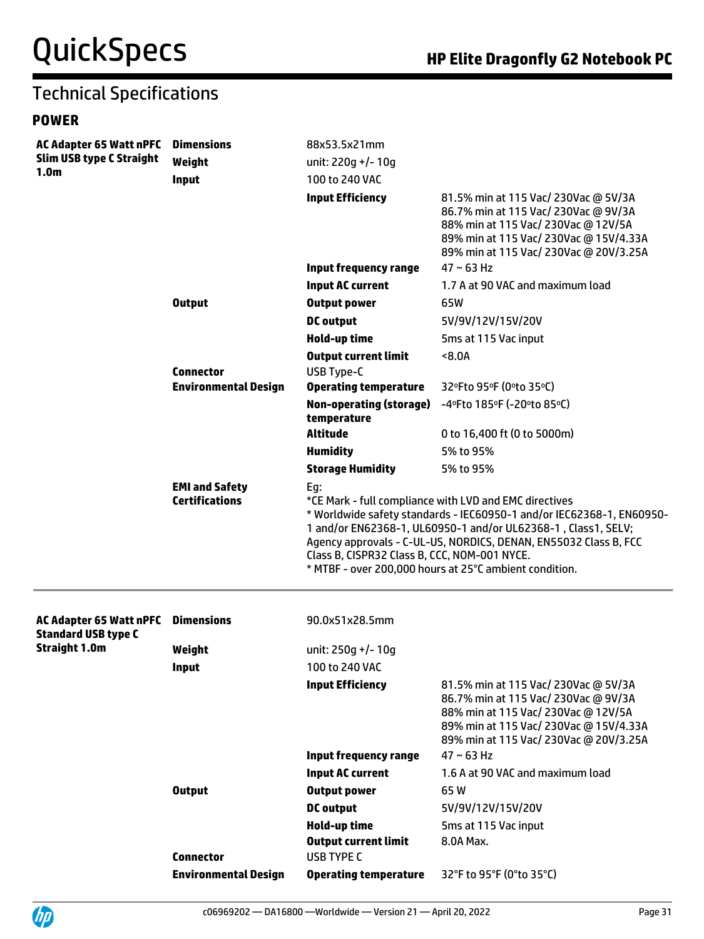#### **POWER**

| <b>AC Adapter 65 Watt nPFC</b><br><b>Slim USB type C Straight</b> | <b>Dimensions</b>                              | 88x53.5x21mm                                                                                                                                                                                                                                                                                                                                                                          |                                                                                                                                                                                                         |  |
|-------------------------------------------------------------------|------------------------------------------------|---------------------------------------------------------------------------------------------------------------------------------------------------------------------------------------------------------------------------------------------------------------------------------------------------------------------------------------------------------------------------------------|---------------------------------------------------------------------------------------------------------------------------------------------------------------------------------------------------------|--|
|                                                                   | Weight                                         | unit: 220g +/- 10g                                                                                                                                                                                                                                                                                                                                                                    |                                                                                                                                                                                                         |  |
| 1.0 <sub>m</sub>                                                  | Input                                          | 100 to 240 VAC                                                                                                                                                                                                                                                                                                                                                                        |                                                                                                                                                                                                         |  |
|                                                                   |                                                | <b>Input Efficiency</b>                                                                                                                                                                                                                                                                                                                                                               | 81.5% min at 115 Vac/ 230Vac @ 5V/3A<br>86.7% min at 115 Vac/ 230Vac @ 9V/3A<br>88% min at 115 Vac/ 230Vac @ 12V/5A<br>89% min at 115 Vac/ 230Vac @ 15V/4.33A<br>89% min at 115 Vac/ 230Vac @ 20V/3.25A |  |
|                                                                   |                                                | <b>Input frequency range</b>                                                                                                                                                                                                                                                                                                                                                          | $47 \sim 63$ Hz                                                                                                                                                                                         |  |
|                                                                   |                                                | <b>Input AC current</b>                                                                                                                                                                                                                                                                                                                                                               | 1.7 A at 90 VAC and maximum load                                                                                                                                                                        |  |
|                                                                   | <b>Output</b>                                  | <b>Output power</b>                                                                                                                                                                                                                                                                                                                                                                   | 65W                                                                                                                                                                                                     |  |
|                                                                   |                                                | <b>DC</b> output                                                                                                                                                                                                                                                                                                                                                                      | 5V/9V/12V/15V/20V                                                                                                                                                                                       |  |
|                                                                   |                                                | Hold-up time                                                                                                                                                                                                                                                                                                                                                                          | 5ms at 115 Vac input                                                                                                                                                                                    |  |
|                                                                   |                                                | <b>Output current limit</b>                                                                                                                                                                                                                                                                                                                                                           | 8.0A                                                                                                                                                                                                    |  |
|                                                                   | <b>Connector</b>                               | <b>USB Type-C</b>                                                                                                                                                                                                                                                                                                                                                                     |                                                                                                                                                                                                         |  |
|                                                                   | <b>Environmental Design</b>                    | <b>Operating temperature</b>                                                                                                                                                                                                                                                                                                                                                          | 32°Fto 95°F (0°to 35°C)                                                                                                                                                                                 |  |
|                                                                   |                                                | <b>Non-operating (storage)</b><br>temperature                                                                                                                                                                                                                                                                                                                                         | -4°Fto 185°F (-20°to 85°C)                                                                                                                                                                              |  |
|                                                                   |                                                | <b>Altitude</b>                                                                                                                                                                                                                                                                                                                                                                       | 0 to 16,400 ft (0 to 5000m)                                                                                                                                                                             |  |
|                                                                   |                                                | <b>Humidity</b>                                                                                                                                                                                                                                                                                                                                                                       | 5% to 95%                                                                                                                                                                                               |  |
|                                                                   |                                                | <b>Storage Humidity</b>                                                                                                                                                                                                                                                                                                                                                               | 5% to 95%                                                                                                                                                                                               |  |
|                                                                   | <b>EMI and Safety</b><br><b>Certifications</b> | Eg:<br>*CE Mark - full compliance with LVD and EMC directives<br>* Worldwide safety standards - IEC60950-1 and/or IEC62368-1, EN60950-<br>1 and/or EN62368-1, UL60950-1 and/or UL62368-1, Class1, SELV;<br>Agency approvals - C-UL-US, NORDICS, DENAN, EN55032 Class B, FCC<br>Class B, CISPR32 Class B, CCC, NOM-001 NYCE.<br>* MTBF - over 200,000 hours at 25°C ambient condition. |                                                                                                                                                                                                         |  |
| <b>AC Adapter 65 Watt nPFC</b><br><b>Standard USB type C</b>      | <b>Dimensions</b>                              | 90.0x51x28.5mm                                                                                                                                                                                                                                                                                                                                                                        |                                                                                                                                                                                                         |  |
| <b>Straight 1.0m</b>                                              | Weight                                         | unit: 250q +/- 10q                                                                                                                                                                                                                                                                                                                                                                    |                                                                                                                                                                                                         |  |
|                                                                   | Input                                          | 100 to 240 VAC                                                                                                                                                                                                                                                                                                                                                                        |                                                                                                                                                                                                         |  |
|                                                                   |                                                | <b>Input Efficiency</b>                                                                                                                                                                                                                                                                                                                                                               | 81.5% min at 115 Vac/ 230Vac @ 5V/3A<br>86.7% min at 115 Vac/ 230Vac @ 9V/3A<br>88% min at 115 Vac/ 230Vac @ 12V/5A<br>89% min at 115 Vac/ 230Vac @ 15V/4.33A<br>89% min at 115 Vac/ 230Vac @ 20V/3.25A |  |
|                                                                   |                                                | <b>Input frequency range</b>                                                                                                                                                                                                                                                                                                                                                          | $47 \sim 63$ Hz                                                                                                                                                                                         |  |
|                                                                   |                                                | <b>Input AC current</b>                                                                                                                                                                                                                                                                                                                                                               | 1.6 A at 90 VAC and maximum load                                                                                                                                                                        |  |
|                                                                   | <b>Output</b>                                  | <b>Output power</b>                                                                                                                                                                                                                                                                                                                                                                   | 65W                                                                                                                                                                                                     |  |
|                                                                   |                                                | <b>DC</b> output                                                                                                                                                                                                                                                                                                                                                                      | 5V/9V/12V/15V/20V                                                                                                                                                                                       |  |
|                                                                   |                                                | Hold-up time                                                                                                                                                                                                                                                                                                                                                                          | 5ms at 115 Vac input                                                                                                                                                                                    |  |
|                                                                   |                                                | <b>Output current limit</b>                                                                                                                                                                                                                                                                                                                                                           | 8.0A Max.                                                                                                                                                                                               |  |
|                                                                   | <b>Connector</b>                               | <b>USB TYPE C</b>                                                                                                                                                                                                                                                                                                                                                                     |                                                                                                                                                                                                         |  |
|                                                                   | <b>Environmental Design</b>                    | <b>Operating temperature</b>                                                                                                                                                                                                                                                                                                                                                          | 32°F to 95°F (0°to 35°C)                                                                                                                                                                                |  |

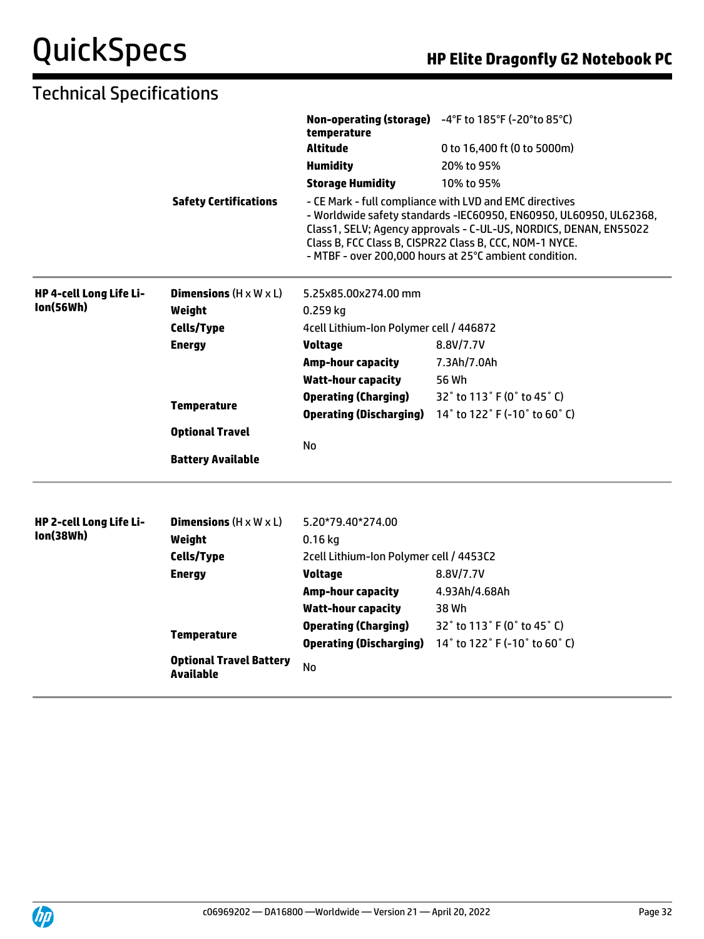|                         |                                                    | temperature                             | Non-operating (storage) -4°F to 185°F (-20°to 85°C)                                                                                                                                                                                                                                                                     |
|-------------------------|----------------------------------------------------|-----------------------------------------|-------------------------------------------------------------------------------------------------------------------------------------------------------------------------------------------------------------------------------------------------------------------------------------------------------------------------|
|                         |                                                    | Altitude                                | 0 to 16,400 ft (0 to 5000m)                                                                                                                                                                                                                                                                                             |
|                         |                                                    | <b>Humidity</b>                         | 20% to 95%                                                                                                                                                                                                                                                                                                              |
|                         |                                                    | <b>Storage Humidity</b>                 | 10% to 95%                                                                                                                                                                                                                                                                                                              |
|                         | <b>Safety Certifications</b>                       |                                         | - CE Mark - full compliance with LVD and EMC directives<br>- Worldwide safety standards -IEC60950, EN60950, UL60950, UL62368,<br>Class1, SELV; Agency approvals - C-UL-US, NORDICS, DENAN, EN55022<br>Class B, FCC Class B, CISPR22 Class B, CCC, NOM-1 NYCE.<br>- MTBF - over 200,000 hours at 25°C ambient condition. |
| HP 4-cell Long Life Li- | <b>Dimensions</b> $(H \times W \times L)$          | 5.25x85.00x274.00 mm                    |                                                                                                                                                                                                                                                                                                                         |
| <b>Ion(56Wh)</b>        | Weight                                             | $0.259$ kg                              |                                                                                                                                                                                                                                                                                                                         |
|                         | <b>Cells/Type</b>                                  | 4cell Lithium-Ion Polymer cell / 446872 |                                                                                                                                                                                                                                                                                                                         |
|                         | <b>Energy</b>                                      | <b>Voltage</b>                          | 8.8V/7.7V                                                                                                                                                                                                                                                                                                               |
|                         |                                                    | <b>Amp-hour capacity</b>                | 7.3Ah/7.0Ah                                                                                                                                                                                                                                                                                                             |
|                         |                                                    | <b>Watt-hour capacity</b>               | 56 Wh                                                                                                                                                                                                                                                                                                                   |
|                         | <b>Temperature</b>                                 | <b>Operating (Charging)</b>             | 32° to 113° F (0° to 45° C)                                                                                                                                                                                                                                                                                             |
|                         |                                                    | <b>Operating (Discharging)</b>          | 14° to 122° F (-10° to 60° C)                                                                                                                                                                                                                                                                                           |
|                         | <b>Optional Travel</b>                             |                                         |                                                                                                                                                                                                                                                                                                                         |
|                         | <b>Battery Available</b>                           | No                                      |                                                                                                                                                                                                                                                                                                                         |
| HP 2-cell Long Life Li- | <b>Dimensions</b> $(H \times W \times L)$          | 5.20*79.40*274.00                       |                                                                                                                                                                                                                                                                                                                         |
| lon(38Wh)               | Weight                                             | $0.16$ kg                               |                                                                                                                                                                                                                                                                                                                         |
|                         | <b>Cells/Type</b>                                  | 2cell Lithium-Ion Polymer cell / 4453C2 |                                                                                                                                                                                                                                                                                                                         |
|                         | <b>Energy</b>                                      | <b>Voltage</b>                          | 8.8V/7.7V                                                                                                                                                                                                                                                                                                               |
|                         |                                                    | <b>Amp-hour capacity</b>                | 4.93Ah/4.68Ah                                                                                                                                                                                                                                                                                                           |
|                         |                                                    | <b>Watt-hour capacity</b>               | 38 Wh                                                                                                                                                                                                                                                                                                                   |
|                         | <b>Temperature</b>                                 | <b>Operating (Charging)</b>             | 32° to 113° F (0° to 45° C)                                                                                                                                                                                                                                                                                             |
|                         |                                                    | <b>Operating (Discharging)</b>          | 14° to 122° F (-10° to 60° C)                                                                                                                                                                                                                                                                                           |
|                         | <b>Optional Travel Battery</b><br><b>Available</b> | <b>No</b>                               |                                                                                                                                                                                                                                                                                                                         |

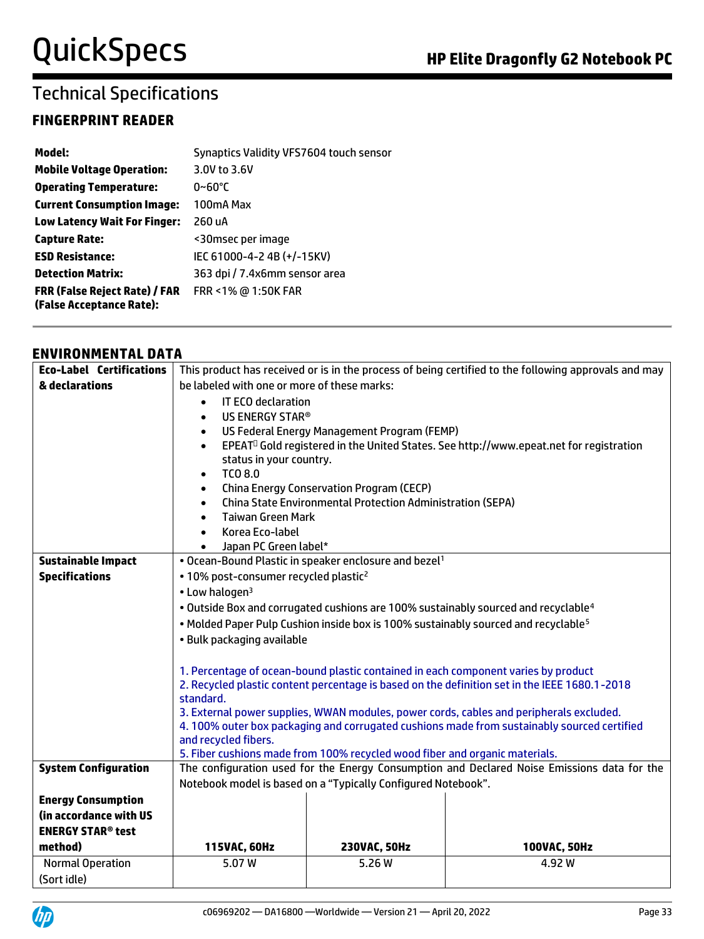### **FINGERPRINT READER**

| Model:                                                           | Synaptics Validity VFS7604 touch sensor |
|------------------------------------------------------------------|-----------------------------------------|
| <b>Mobile Voltage Operation:</b>                                 | 3.0V to 3.6V                            |
| <b>Operating Temperature:</b>                                    | $0~60^{\circ}$ C                        |
| <b>Current Consumption Image:</b>                                | 100mA Max                               |
| <b>Low Latency Wait For Finger:</b>                              | 260 uA                                  |
| <b>Capture Rate:</b>                                             | <30msec per image                       |
| <b>ESD Resistance:</b>                                           | IEC 61000-4-2 4B (+/-15KV)              |
| <b>Detection Matrix:</b>                                         | 363 dpi / 7.4x6mm sensor area           |
| <b>FRR (False Reject Rate) / FAR</b><br>(False Acceptance Rate): | FRR <1% @ 1:50K FAR                     |

#### **ENVIRONMENTAL DATA**

| <b>Eco-Label Certifications</b>     | This product has received or is in the process of being certified to the following approvals and may                                                                                             |                                                                   |                                                                                                    |  |
|-------------------------------------|--------------------------------------------------------------------------------------------------------------------------------------------------------------------------------------------------|-------------------------------------------------------------------|----------------------------------------------------------------------------------------------------|--|
| & declarations                      | be labeled with one or more of these marks:                                                                                                                                                      |                                                                   |                                                                                                    |  |
|                                     | <b>IT ECO declaration</b><br>$\bullet$                                                                                                                                                           |                                                                   |                                                                                                    |  |
|                                     | US ENERGY STAR®<br>$\bullet$                                                                                                                                                                     |                                                                   |                                                                                                    |  |
|                                     | US Federal Energy Management Program (FEMP)<br>$\bullet$                                                                                                                                         |                                                                   |                                                                                                    |  |
|                                     | $\bullet$                                                                                                                                                                                        |                                                                   | EPEAT <sup>O</sup> Gold registered in the United States. See http://www.epeat.net for registration |  |
|                                     | status in your country.                                                                                                                                                                          |                                                                   |                                                                                                    |  |
|                                     | TCO 8.0<br>$\bullet$                                                                                                                                                                             |                                                                   |                                                                                                    |  |
|                                     | $\bullet$                                                                                                                                                                                        | <b>China Energy Conservation Program (CECP)</b>                   |                                                                                                    |  |
|                                     | $\bullet$                                                                                                                                                                                        | China State Environmental Protection Administration (SEPA)        |                                                                                                    |  |
|                                     | <b>Taiwan Green Mark</b><br>$\bullet$                                                                                                                                                            |                                                                   |                                                                                                    |  |
|                                     | Korea Eco-label<br>$\bullet$                                                                                                                                                                     |                                                                   |                                                                                                    |  |
| <b>Sustainable Impact</b>           | Japan PC Green label*                                                                                                                                                                            | • Ocean-Bound Plastic in speaker enclosure and bezel <sup>1</sup> |                                                                                                    |  |
| <b>Specifications</b>               | • 10% post-consumer recycled plastic <sup>2</sup>                                                                                                                                                |                                                                   |                                                                                                    |  |
|                                     | • Low halogen <sup>3</sup>                                                                                                                                                                       |                                                                   |                                                                                                    |  |
|                                     |                                                                                                                                                                                                  |                                                                   |                                                                                                    |  |
|                                     | . Outside Box and corrugated cushions are 100% sustainably sourced and recyclable <sup>4</sup>                                                                                                   |                                                                   |                                                                                                    |  |
|                                     | . Molded Paper Pulp Cushion inside box is 100% sustainably sourced and recyclable <sup>5</sup>                                                                                                   |                                                                   |                                                                                                    |  |
|                                     | · Bulk packaging available                                                                                                                                                                       |                                                                   |                                                                                                    |  |
|                                     |                                                                                                                                                                                                  |                                                                   |                                                                                                    |  |
|                                     | 1. Percentage of ocean-bound plastic contained in each component varies by product<br>2. Recycled plastic content percentage is based on the definition set in the IEEE 1680.1-2018<br>standard. |                                                                   |                                                                                                    |  |
|                                     |                                                                                                                                                                                                  |                                                                   |                                                                                                    |  |
|                                     |                                                                                                                                                                                                  |                                                                   | 3. External power supplies, WWAN modules, power cords, cables and peripherals excluded.            |  |
|                                     | 4.100% outer box packaging and corrugated cushions made from sustainably sourced certified<br>and recycled fibers.                                                                               |                                                                   |                                                                                                    |  |
|                                     |                                                                                                                                                                                                  |                                                                   |                                                                                                    |  |
|                                     | 5. Fiber cushions made from 100% recycled wood fiber and organic materials.                                                                                                                      |                                                                   |                                                                                                    |  |
| <b>System Configuration</b>         | The configuration used for the Energy Consumption and Declared Noise Emissions data for the                                                                                                      |                                                                   |                                                                                                    |  |
|                                     | Notebook model is based on a "Typically Configured Notebook".                                                                                                                                    |                                                                   |                                                                                                    |  |
| <b>Energy Consumption</b>           |                                                                                                                                                                                                  |                                                                   |                                                                                                    |  |
| (in accordance with US              |                                                                                                                                                                                                  |                                                                   |                                                                                                    |  |
| <b>ENERGY STAR<sup>®</sup> test</b> |                                                                                                                                                                                                  |                                                                   |                                                                                                    |  |
| method)                             | 115VAC, 60Hz                                                                                                                                                                                     | 230VAC, 50Hz                                                      | 100VAC, 50Hz                                                                                       |  |
| <b>Normal Operation</b>             | 5.07W                                                                                                                                                                                            | 5.26 W                                                            | 4.92 W                                                                                             |  |
| (Sort idle)                         |                                                                                                                                                                                                  |                                                                   |                                                                                                    |  |
|                                     |                                                                                                                                                                                                  |                                                                   |                                                                                                    |  |

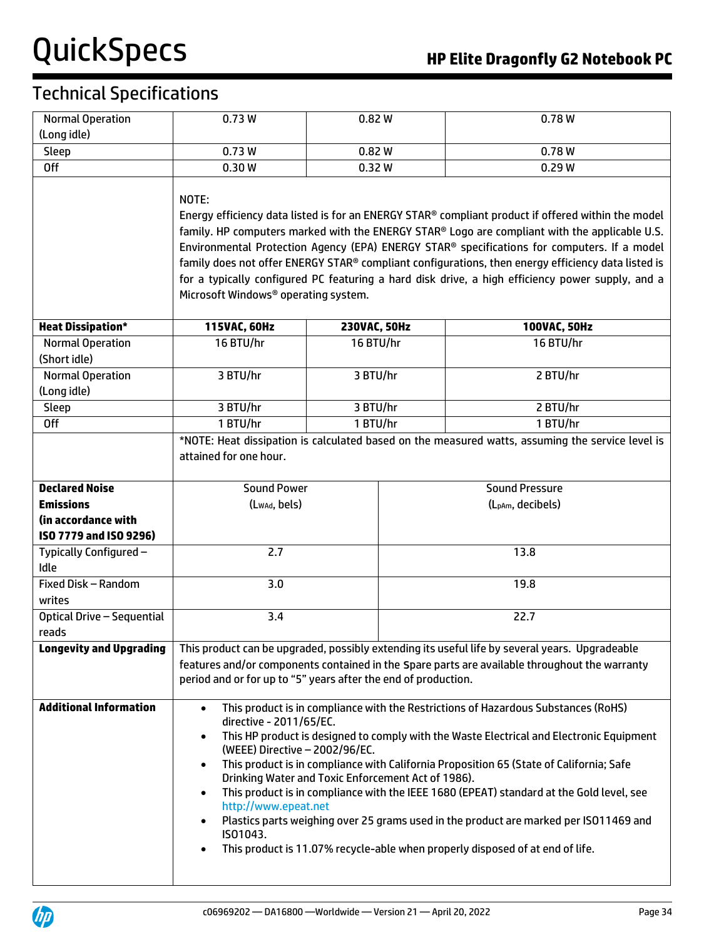| <b>Normal Operation</b><br>(Long idle) | 0.73W                                                                                                                                                                                                                                                                                                                                                                                                                                                                                                                                                                                                                                                                                                                                                      | 0.82W        | 0.78W                         |  |
|----------------------------------------|------------------------------------------------------------------------------------------------------------------------------------------------------------------------------------------------------------------------------------------------------------------------------------------------------------------------------------------------------------------------------------------------------------------------------------------------------------------------------------------------------------------------------------------------------------------------------------------------------------------------------------------------------------------------------------------------------------------------------------------------------------|--------------|-------------------------------|--|
| <b>Sleep</b>                           | 0.73W<br>0.82W                                                                                                                                                                                                                                                                                                                                                                                                                                                                                                                                                                                                                                                                                                                                             |              | 0.78W                         |  |
| <b>Off</b>                             | 0.30W<br>0.32W                                                                                                                                                                                                                                                                                                                                                                                                                                                                                                                                                                                                                                                                                                                                             |              | 0.29W                         |  |
|                                        | NOTE:<br>Energy efficiency data listed is for an ENERGY STAR <sup>®</sup> compliant product if offered within the model<br>family. HP computers marked with the ENERGY STAR® Logo are compliant with the applicable U.S.<br>Environmental Protection Agency (EPA) ENERGY STAR® specifications for computers. If a model<br>family does not offer ENERGY STAR® compliant configurations, then energy efficiency data listed is<br>for a typically configured PC featuring a hard disk drive, a high efficiency power supply, and a<br>Microsoft Windows <sup>®</sup> operating system.                                                                                                                                                                      |              |                               |  |
| <b>Heat Dissipation*</b>               | 115VAC, 60Hz                                                                                                                                                                                                                                                                                                                                                                                                                                                                                                                                                                                                                                                                                                                                               | 230VAC, 50Hz | 100VAC, 50Hz                  |  |
| <b>Normal Operation</b>                | 16 BTU/hr                                                                                                                                                                                                                                                                                                                                                                                                                                                                                                                                                                                                                                                                                                                                                  | 16 BTU/hr    | 16 BTU/hr                     |  |
| (Short idle)                           |                                                                                                                                                                                                                                                                                                                                                                                                                                                                                                                                                                                                                                                                                                                                                            |              |                               |  |
| <b>Normal Operation</b>                | 3 BTU/hr                                                                                                                                                                                                                                                                                                                                                                                                                                                                                                                                                                                                                                                                                                                                                   | 3 BTU/hr     | 2 BTU/hr                      |  |
| (Long idle)                            |                                                                                                                                                                                                                                                                                                                                                                                                                                                                                                                                                                                                                                                                                                                                                            |              |                               |  |
| Sleep                                  | 3 BTU/hr                                                                                                                                                                                                                                                                                                                                                                                                                                                                                                                                                                                                                                                                                                                                                   | 3 BTU/hr     | 2 BTU/hr                      |  |
| <b>Off</b>                             | 1 BTU/hr                                                                                                                                                                                                                                                                                                                                                                                                                                                                                                                                                                                                                                                                                                                                                   | 1 BTU/hr     | 1 BTU/hr                      |  |
|                                        | *NOTE: Heat dissipation is calculated based on the measured watts, assuming the service level is<br>attained for one hour.                                                                                                                                                                                                                                                                                                                                                                                                                                                                                                                                                                                                                                 |              |                               |  |
| <b>Declared Noise</b>                  | <b>Sound Power</b>                                                                                                                                                                                                                                                                                                                                                                                                                                                                                                                                                                                                                                                                                                                                         |              | <b>Sound Pressure</b>         |  |
| <b>Emissions</b>                       | (Lwad, bels)                                                                                                                                                                                                                                                                                                                                                                                                                                                                                                                                                                                                                                                                                                                                               |              | (L <sub>pAm</sub> , decibels) |  |
| (in accordance with                    |                                                                                                                                                                                                                                                                                                                                                                                                                                                                                                                                                                                                                                                                                                                                                            |              |                               |  |
| ISO 7779 and ISO 9296)                 |                                                                                                                                                                                                                                                                                                                                                                                                                                                                                                                                                                                                                                                                                                                                                            |              |                               |  |
| Typically Configured -<br>Idle         | 2.7                                                                                                                                                                                                                                                                                                                                                                                                                                                                                                                                                                                                                                                                                                                                                        |              | 13.8                          |  |
| Fixed Disk - Random                    | 3.0                                                                                                                                                                                                                                                                                                                                                                                                                                                                                                                                                                                                                                                                                                                                                        |              | 19.8                          |  |
| writes                                 |                                                                                                                                                                                                                                                                                                                                                                                                                                                                                                                                                                                                                                                                                                                                                            |              |                               |  |
| <b>Optical Drive - Sequential</b>      | 3.4                                                                                                                                                                                                                                                                                                                                                                                                                                                                                                                                                                                                                                                                                                                                                        |              | 22.7                          |  |
| reads                                  |                                                                                                                                                                                                                                                                                                                                                                                                                                                                                                                                                                                                                                                                                                                                                            |              |                               |  |
| <b>Longevity and Upgrading</b>         | This product can be upgraded, possibly extending its useful life by several years. Upgradeable                                                                                                                                                                                                                                                                                                                                                                                                                                                                                                                                                                                                                                                             |              |                               |  |
|                                        | features and/or components contained in the Spare parts are available throughout the warranty<br>period and or for up to "5" years after the end of production.                                                                                                                                                                                                                                                                                                                                                                                                                                                                                                                                                                                            |              |                               |  |
| <b>Additional Information</b>          | This product is in compliance with the Restrictions of Hazardous Substances (RoHS)<br>$\bullet$<br>directive - 2011/65/EC.<br>This HP product is designed to comply with the Waste Electrical and Electronic Equipment<br>$\bullet$<br>(WEEE) Directive - 2002/96/EC.<br>This product is in compliance with California Proposition 65 (State of California; Safe<br>$\bullet$<br>Drinking Water and Toxic Enforcement Act of 1986).<br>This product is in compliance with the IEEE 1680 (EPEAT) standard at the Gold level, see<br>$\bullet$<br>http://www.epeat.net<br>Plastics parts weighing over 25 grams used in the product are marked per ISO11469 and<br>IS01043.<br>This product is 11.07% recycle-able when properly disposed of at end of life. |              |                               |  |

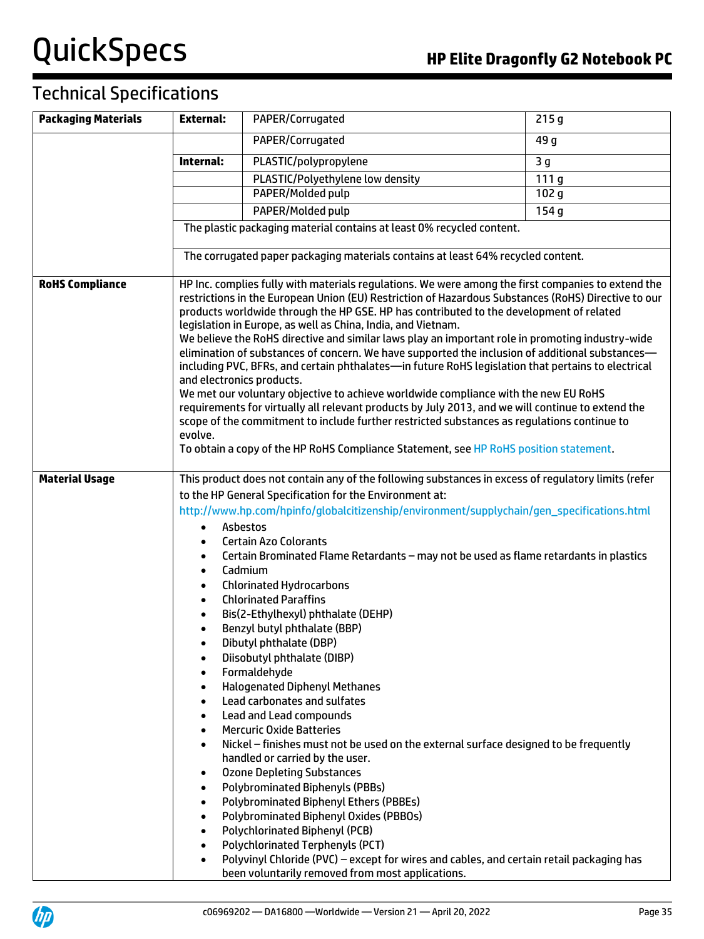| <b>Packaging Materials</b> | <b>External:</b>                                                                                                                                                                                                                                                                                                                                                                                                                                                                                                                                                                                                                                                                                                                                                                                                                                                                                                                                                                                                                                                                                              | PAPER/Corrugated                                                                                                                                                                                                                                                                                                                                                                                                                                                                                                                                                                                                            | 215g             |
|----------------------------|---------------------------------------------------------------------------------------------------------------------------------------------------------------------------------------------------------------------------------------------------------------------------------------------------------------------------------------------------------------------------------------------------------------------------------------------------------------------------------------------------------------------------------------------------------------------------------------------------------------------------------------------------------------------------------------------------------------------------------------------------------------------------------------------------------------------------------------------------------------------------------------------------------------------------------------------------------------------------------------------------------------------------------------------------------------------------------------------------------------|-----------------------------------------------------------------------------------------------------------------------------------------------------------------------------------------------------------------------------------------------------------------------------------------------------------------------------------------------------------------------------------------------------------------------------------------------------------------------------------------------------------------------------------------------------------------------------------------------------------------------------|------------------|
|                            |                                                                                                                                                                                                                                                                                                                                                                                                                                                                                                                                                                                                                                                                                                                                                                                                                                                                                                                                                                                                                                                                                                               | PAPER/Corrugated                                                                                                                                                                                                                                                                                                                                                                                                                                                                                                                                                                                                            | 49 g             |
|                            |                                                                                                                                                                                                                                                                                                                                                                                                                                                                                                                                                                                                                                                                                                                                                                                                                                                                                                                                                                                                                                                                                                               |                                                                                                                                                                                                                                                                                                                                                                                                                                                                                                                                                                                                                             |                  |
|                            | Internal:                                                                                                                                                                                                                                                                                                                                                                                                                                                                                                                                                                                                                                                                                                                                                                                                                                                                                                                                                                                                                                                                                                     | PLASTIC/polypropylene                                                                                                                                                                                                                                                                                                                                                                                                                                                                                                                                                                                                       | 3 <sub>g</sub>   |
|                            |                                                                                                                                                                                                                                                                                                                                                                                                                                                                                                                                                                                                                                                                                                                                                                                                                                                                                                                                                                                                                                                                                                               | PLASTIC/Polyethylene low density                                                                                                                                                                                                                                                                                                                                                                                                                                                                                                                                                                                            | 111g             |
|                            |                                                                                                                                                                                                                                                                                                                                                                                                                                                                                                                                                                                                                                                                                                                                                                                                                                                                                                                                                                                                                                                                                                               | PAPER/Molded pulp                                                                                                                                                                                                                                                                                                                                                                                                                                                                                                                                                                                                           | 102 <sub>g</sub> |
|                            |                                                                                                                                                                                                                                                                                                                                                                                                                                                                                                                                                                                                                                                                                                                                                                                                                                                                                                                                                                                                                                                                                                               | PAPER/Molded pulp                                                                                                                                                                                                                                                                                                                                                                                                                                                                                                                                                                                                           | 154g             |
|                            |                                                                                                                                                                                                                                                                                                                                                                                                                                                                                                                                                                                                                                                                                                                                                                                                                                                                                                                                                                                                                                                                                                               | The plastic packaging material contains at least 0% recycled content.                                                                                                                                                                                                                                                                                                                                                                                                                                                                                                                                                       |                  |
|                            |                                                                                                                                                                                                                                                                                                                                                                                                                                                                                                                                                                                                                                                                                                                                                                                                                                                                                                                                                                                                                                                                                                               | The corrugated paper packaging materials contains at least 64% recycled content.                                                                                                                                                                                                                                                                                                                                                                                                                                                                                                                                            |                  |
| <b>RoHS Compliance</b>     | HP Inc. complies fully with materials regulations. We were among the first companies to extend the<br>restrictions in the European Union (EU) Restriction of Hazardous Substances (RoHS) Directive to our<br>products worldwide through the HP GSE. HP has contributed to the development of related<br>legislation in Europe, as well as China, India, and Vietnam.<br>We believe the RoHS directive and similar laws play an important role in promoting industry-wide<br>elimination of substances of concern. We have supported the inclusion of additional substances-<br>including PVC, BFRs, and certain phthalates-in future RoHS legislation that pertains to electrical<br>and electronics products.<br>We met our voluntary objective to achieve worldwide compliance with the new EU RoHS<br>requirements for virtually all relevant products by July 2013, and we will continue to extend the<br>scope of the commitment to include further restricted substances as regulations continue to<br>evolve.<br>To obtain a copy of the HP RoHS Compliance Statement, see HP RoHS position statement. |                                                                                                                                                                                                                                                                                                                                                                                                                                                                                                                                                                                                                             |                  |
| <b>Material Usage</b>      |                                                                                                                                                                                                                                                                                                                                                                                                                                                                                                                                                                                                                                                                                                                                                                                                                                                                                                                                                                                                                                                                                                               | This product does not contain any of the following substances in excess of regulatory limits (refer                                                                                                                                                                                                                                                                                                                                                                                                                                                                                                                         |                  |
|                            | $\bullet$<br>$\bullet$<br>$\bullet$<br>$\bullet$<br>$\bullet$<br>$\bullet$<br>$\bullet$<br>$\bullet$<br>$\bullet$<br>$\bullet$<br>٠<br>$\bullet$<br>٠                                                                                                                                                                                                                                                                                                                                                                                                                                                                                                                                                                                                                                                                                                                                                                                                                                                                                                                                                         | to the HP General Specification for the Environment at:<br>http://www.hp.com/hpinfo/globalcitizenship/environment/supplychain/gen_specifications.html<br>Asbestos<br><b>Certain Azo Colorants</b><br>Certain Brominated Flame Retardants - may not be used as flame retardants in plastics<br>Cadmium<br><b>Chlorinated Hydrocarbons</b><br><b>Chlorinated Paraffins</b><br>Bis(2-Ethylhexyl) phthalate (DEHP)<br>Benzyl butyl phthalate (BBP)<br>Dibutyl phthalate (DBP)<br>Diisobutyl phthalate (DIBP)<br>Formaldehyde<br><b>Halogenated Diphenyl Methanes</b><br>Lead carbonates and sulfates<br>Lead and Lead compounds |                  |
|                            | $\bullet$<br>$\bullet$<br>$\bullet$<br>$\bullet$<br>$\bullet$<br>$\bullet$<br>$\bullet$<br>$\bullet$<br>$\bullet$                                                                                                                                                                                                                                                                                                                                                                                                                                                                                                                                                                                                                                                                                                                                                                                                                                                                                                                                                                                             | <b>Mercuric Oxide Batteries</b><br>Nickel - finishes must not be used on the external surface designed to be frequently<br>handled or carried by the user.<br><b>Ozone Depleting Substances</b><br><b>Polybrominated Biphenyls (PBBs)</b><br><b>Polybrominated Biphenyl Ethers (PBBEs)</b><br>Polybrominated Biphenyl Oxides (PBBOs)<br>Polychlorinated Biphenyl (PCB)<br><b>Polychlorinated Terphenyls (PCT)</b><br>Polyvinyl Chloride (PVC) - except for wires and cables, and certain retail packaging has<br>been voluntarily removed from most applications.                                                           |                  |

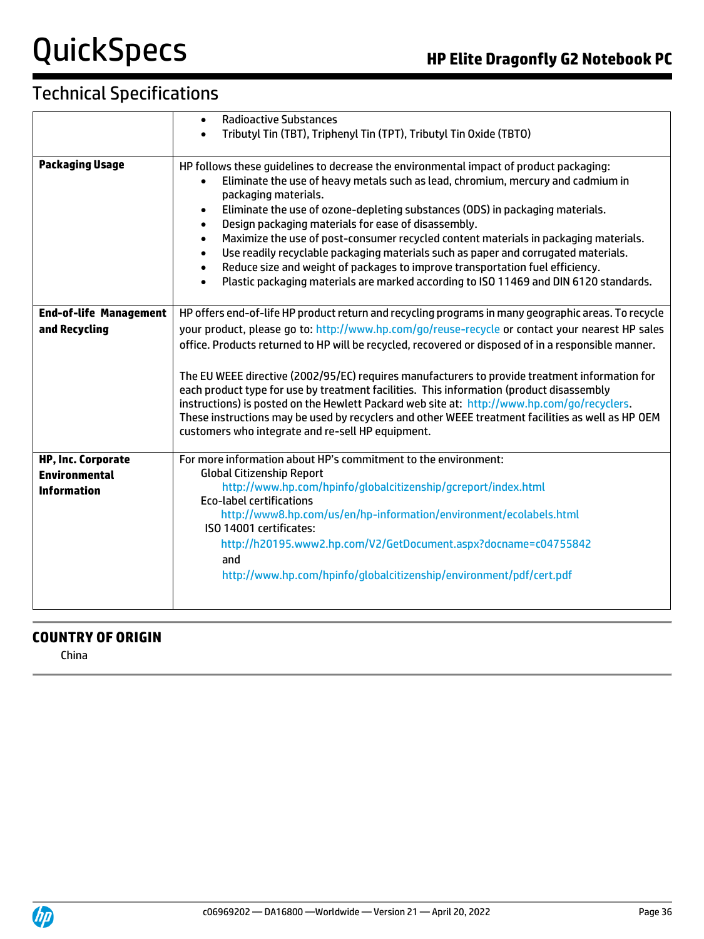# Technical Specifications

|                               | <b>Radioactive Substances</b><br>$\bullet$                                                               |  |  |
|-------------------------------|----------------------------------------------------------------------------------------------------------|--|--|
|                               | Tributyl Tin (TBT), Triphenyl Tin (TPT), Tributyl Tin Oxide (TBTO)                                       |  |  |
|                               |                                                                                                          |  |  |
| <b>Packaging Usage</b>        | HP follows these guidelines to decrease the environmental impact of product packaging:                   |  |  |
|                               | Eliminate the use of heavy metals such as lead, chromium, mercury and cadmium in<br>packaging materials. |  |  |
|                               | Eliminate the use of ozone-depleting substances (ODS) in packaging materials.<br>$\bullet$               |  |  |
|                               | Design packaging materials for ease of disassembly.<br>$\bullet$                                         |  |  |
|                               | Maximize the use of post-consumer recycled content materials in packaging materials.<br>$\bullet$        |  |  |
|                               | Use readily recyclable packaging materials such as paper and corrugated materials.<br>$\bullet$          |  |  |
|                               | Reduce size and weight of packages to improve transportation fuel efficiency.<br>$\bullet$               |  |  |
|                               | Plastic packaging materials are marked according to ISO 11469 and DIN 6120 standards.<br>$\bullet$       |  |  |
| <b>End-of-life Management</b> | HP offers end-of-life HP product return and recycling programs in many geographic areas. To recycle      |  |  |
| and Recycling                 | your product, please go to: http://www.hp.com/go/reuse-recycle or contact your nearest HP sales          |  |  |
|                               | office. Products returned to HP will be recycled, recovered or disposed of in a responsible manner.      |  |  |
|                               |                                                                                                          |  |  |
|                               | The EU WEEE directive (2002/95/EC) requires manufacturers to provide treatment information for           |  |  |
|                               | each product type for use by treatment facilities. This information (product disassembly                 |  |  |
|                               | instructions) is posted on the Hewlett Packard web site at: http://www.hp.com/go/recyclers.              |  |  |
|                               | These instructions may be used by recyclers and other WEEE treatment facilities as well as HP OEM        |  |  |
|                               | customers who integrate and re-sell HP equipment.                                                        |  |  |
| <b>HP, Inc. Corporate</b>     | For more information about HP's commitment to the environment:                                           |  |  |
| <b>Environmental</b>          | <b>Global Citizenship Report</b>                                                                         |  |  |
| <b>Information</b>            | http://www.hp.com/hpinfo/globalcitizenship/gcreport/index.html                                           |  |  |
|                               | <b>Eco-label certifications</b>                                                                          |  |  |
|                               | http://www8.hp.com/us/en/hp-information/environment/ecolabels.html<br>ISO 14001 certificates:            |  |  |
|                               | http://h20195.www2.hp.com/V2/GetDocument.aspx?docname=c04755842                                          |  |  |
|                               | and                                                                                                      |  |  |
|                               | http://www.hp.com/hpinfo/globalcitizenship/environment/pdf/cert.pdf                                      |  |  |
|                               |                                                                                                          |  |  |
|                               |                                                                                                          |  |  |

#### **COUNTRY OF ORIGIN**

China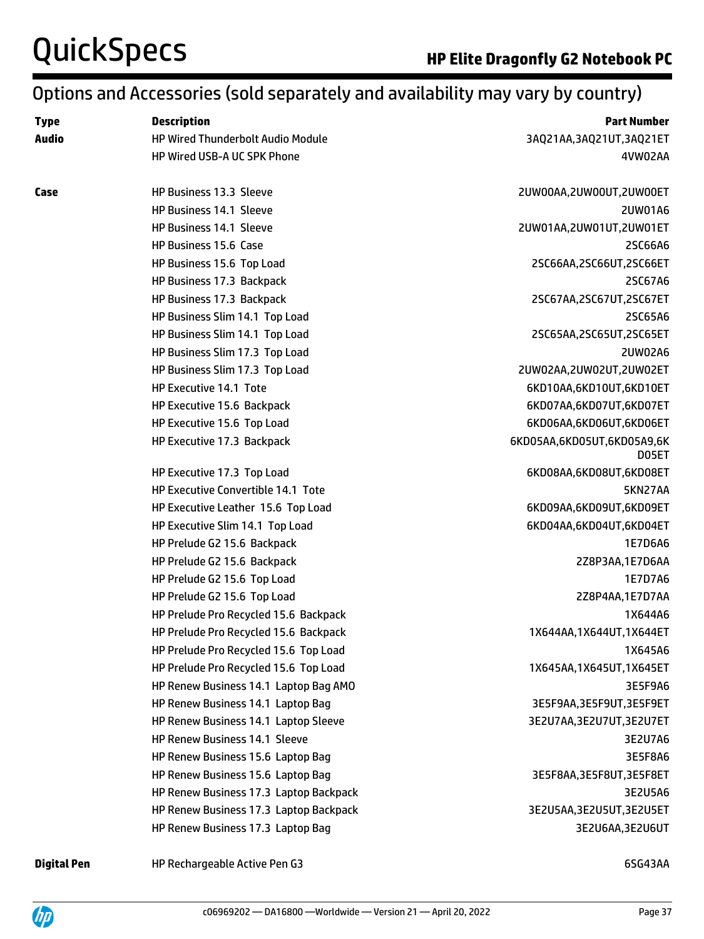## Options and Accessories (sold separately and availability may vary by country)

| <b>Type</b>  | <b>Description</b>                       | <b>Part Number</b>                  |  |  |
|--------------|------------------------------------------|-------------------------------------|--|--|
| <b>Audio</b> | <b>HP Wired Thunderbolt Audio Module</b> | 3AQ21AA, 3AQ21UT, 3AQ21ET           |  |  |
|              | HP Wired USB-A UC SPK Phone              | 4VW02AA                             |  |  |
|              |                                          |                                     |  |  |
| Case         | HP Business 13.3 Sleeve                  | 2UW00AA,2UW00UT,2UW00ET             |  |  |
|              | <b>HP Business 14.1 Sleeve</b>           | 2UW01A6                             |  |  |
|              | <b>HP Business 14.1 Sleeve</b>           | 2UW01AA,2UW01UT,2UW01ET             |  |  |
|              | HP Business 15.6 Case                    | 2SC66A6                             |  |  |
|              | HP Business 15.6 Top Load                | 2SC66AA,2SC66UT,2SC66ET             |  |  |
|              | HP Business 17.3 Backpack                | 2SC67A6                             |  |  |
|              | HP Business 17.3 Backpack                | 2SC67AA,2SC67UT,2SC67ET             |  |  |
|              | HP Business Slim 14.1 Top Load           | 2SC65A6                             |  |  |
|              | HP Business Slim 14.1 Top Load           | 2SC65AA,2SC65UT,2SC65ET             |  |  |
|              | HP Business Slim 17.3 Top Load           | 2UW02A6                             |  |  |
|              | HP Business Slim 17.3 Top Load           | 2UW02AA,2UW02UT,2UW02ET             |  |  |
|              | HP Executive 14.1 Tote                   | 6KD10AA,6KD10UT,6KD10ET             |  |  |
|              | HP Executive 15.6 Backpack               | 6KD07AA,6KD07UT,6KD07ET             |  |  |
|              | HP Executive 15.6 Top Load               | 6KD06AA,6KD06UT,6KD06ET             |  |  |
|              | HP Executive 17.3 Backpack               | 6KD05AA,6KD05UT,6KD05A9,6K<br>D05ET |  |  |
|              | HP Executive 17.3 Top Load               | 6KD08AA,6KD08UT,6KD08ET             |  |  |
|              | HP Executive Convertible 14.1 Tote       | 5KN27AA                             |  |  |
|              | HP Executive Leather 15.6 Top Load       | 6KD09AA,6KD09UT,6KD09ET             |  |  |
|              | HP Executive Slim 14.1 Top Load          | 6KD04AA,6KD04UT,6KD04ET             |  |  |
|              | HP Prelude G2 15.6 Backpack              | 1E7D6A6                             |  |  |
|              | HP Prelude G2 15.6 Backpack              | 2Z8P3AA,1E7D6AA                     |  |  |
|              | HP Prelude G2 15.6 Top Load              | 1E7D7A6                             |  |  |
|              | HP Prelude G2 15.6 Top Load              | 2Z8P4AA,1E7D7AA                     |  |  |
|              | HP Prelude Pro Recycled 15.6 Backpack    | 1X644A6                             |  |  |
|              | HP Prelude Pro Recycled 15.6 Backpack    | 1X644AA, 1X644UT, 1X644ET           |  |  |
|              | HP Prelude Pro Recycled 15.6 Top Load    | 1X645A6                             |  |  |
|              | HP Prelude Pro Recycled 15.6 Top Load    | 1X645AA, 1X645UT, 1X645ET           |  |  |
|              | HP Renew Business 14.1 Laptop Bag AMO    | 3E5F9A6                             |  |  |
|              | HP Renew Business 14.1 Laptop Bag        | 3E5F9AA, 3E5F9UT, 3E5F9ET           |  |  |
|              | HP Renew Business 14.1 Laptop Sleeve     | 3E2U7AA,3E2U7UT,3E2U7ET             |  |  |
|              | HP Renew Business 14.1 Sleeve            | 3E2U7A6                             |  |  |
|              | HP Renew Business 15.6 Laptop Bag        | 3E5F8A6                             |  |  |
|              | HP Renew Business 15.6 Laptop Bag        | 3E5F8AA, 3E5F8UT, 3E5F8ET           |  |  |
|              | HP Renew Business 17.3 Laptop Backpack   | 3E2U5A6                             |  |  |
|              | HP Renew Business 17.3 Laptop Backpack   | 3E2U5AA, 3E2U5UT, 3E2U5ET           |  |  |
|              | HP Renew Business 17.3 Laptop Bag        | 3E2U6AA,3E2U6UT                     |  |  |
|              |                                          |                                     |  |  |

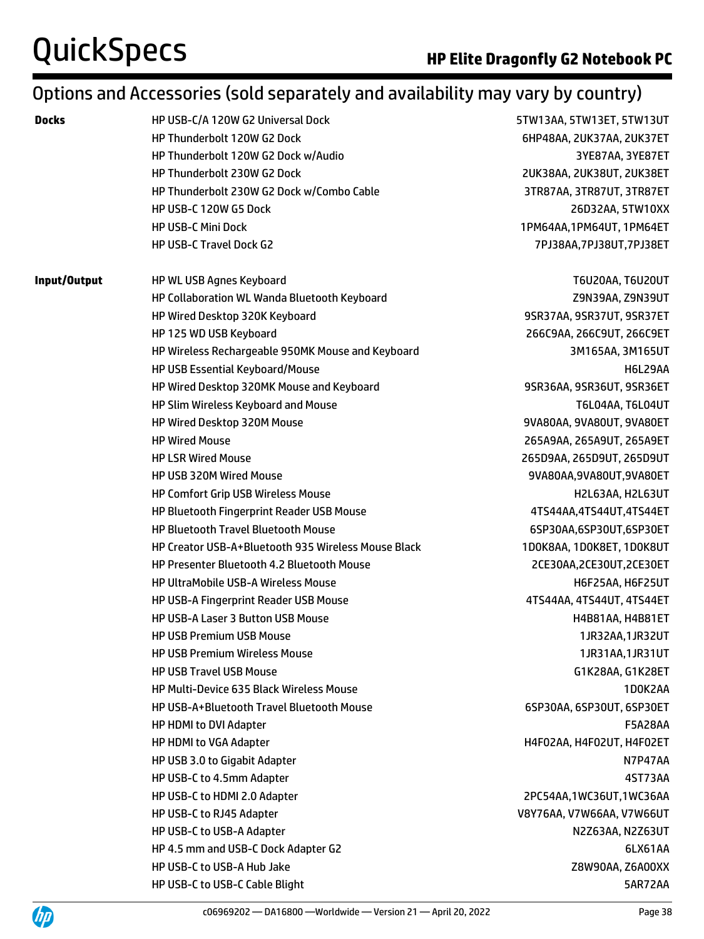## Options and Accessories (sold separately and availability may vary by country)

| <b>Docks</b> | HP USB-C/A 120W G2 Universal Dock                   | 5TW13AA, 5TW13ET, 5TW13UT                   |  |  |
|--------------|-----------------------------------------------------|---------------------------------------------|--|--|
|              | HP Thunderbolt 120W G2 Dock                         | 6HP48AA, 2UK37AA, 2UK37ET                   |  |  |
|              | HP Thunderbolt 120W G2 Dock w/Audio                 | 3YE87AA, 3YE87ET                            |  |  |
|              | HP Thunderbolt 230W G2 Dock                         | 2UK38AA, 2UK38UT, 2UK38ET                   |  |  |
|              | HP Thunderbolt 230W G2 Dock w/Combo Cable           | 3TR87AA, 3TR87UT, 3TR87ET                   |  |  |
|              | HP USB-C 120W G5 Dock                               | 26D32AA, 5TW10XX                            |  |  |
|              | <b>HP USB-C Mini Dock</b>                           | 1PM64AA, 1PM64UT, 1PM64ET                   |  |  |
|              | HP USB-C Travel Dock G2                             | 7PJ38AA,7PJ38UT,7PJ38ET                     |  |  |
| Input/Output | HP WL USB Agnes Keyboard                            | T6U20AA, T6U20UT                            |  |  |
|              | HP Collaboration WL Wanda Bluetooth Keyboard        | Z9N39AA, Z9N39UT                            |  |  |
|              | HP Wired Desktop 320K Keyboard                      | 9SR37AA, 9SR37UT, 9SR37ET                   |  |  |
|              | HP 125 WD USB Keyboard                              | 266C9AA, 266C9UT, 266C9ET                   |  |  |
|              | HP Wireless Rechargeable 950MK Mouse and Keyboard   | 3M165AA, 3M165UT                            |  |  |
|              | HP USB Essential Keyboard/Mouse                     | H6L29AA                                     |  |  |
|              | HP Wired Desktop 320MK Mouse and Keyboard           | 9SR36AA, 9SR36UT, 9SR36ET                   |  |  |
|              | HP Slim Wireless Keyboard and Mouse                 | T6L04AA, T6L04UT                            |  |  |
|              | HP Wired Desktop 320M Mouse                         | 9VA80AA, 9VA80UT, 9VA80ET                   |  |  |
|              | <b>HP Wired Mouse</b>                               | 265A9AA, 265A9UT, 265A9ET                   |  |  |
|              | <b>HP LSR Wired Mouse</b>                           | 265D9AA, 265D9UT, 265D9UT                   |  |  |
|              | HP USB 320M Wired Mouse                             | 9VA80AA, 9VA80UT, 9VA80ET                   |  |  |
|              | <b>HP Comfort Grip USB Wireless Mouse</b>           | H2L63AA, H2L63UT<br>4TS44AA,4TS44UT,4TS44ET |  |  |
|              | HP Bluetooth Fingerprint Reader USB Mouse           |                                             |  |  |
|              | <b>HP Bluetooth Travel Bluetooth Mouse</b>          | 6SP30AA,6SP30UT,6SP30ET                     |  |  |
|              | HP Creator USB-A+Bluetooth 935 Wireless Mouse Black | 1D0K8AA, 1D0K8ET, 1D0K8UT                   |  |  |
|              | HP Presenter Bluetooth 4.2 Bluetooth Mouse          | 2CE30AA, 2CE30UT, 2CE30ET                   |  |  |
|              | <b>HP UltraMobile USB-A Wireless Mouse</b>          | H6F25AA, H6F25UT                            |  |  |
|              | HP USB-A Fingerprint Reader USB Mouse               | 4TS44AA, 4TS44UT, 4TS44ET                   |  |  |
|              | HP USB-A Laser 3 Button USB Mouse                   | H4B81AA, H4B81ET                            |  |  |
|              | <b>HP USB Premium USB Mouse</b>                     | 1JR32AA, 1JR32UT                            |  |  |
|              | <b>HP USB Premium Wireless Mouse</b>                | 1JR31AA, 1JR31UT                            |  |  |
|              | <b>HP USB Travel USB Mouse</b>                      | G1K28AA, G1K28ET                            |  |  |
|              | HP Multi-Device 635 Black Wireless Mouse            | 1D0K2AA                                     |  |  |
|              | HP USB-A+Bluetooth Travel Bluetooth Mouse           | 6SP30AA, 6SP30UT, 6SP30ET                   |  |  |
|              | HP HDMI to DVI Adapter                              | <b>F5A28AA</b>                              |  |  |
|              | HP HDMI to VGA Adapter                              | H4F02AA, H4F02UT, H4F02ET                   |  |  |
|              | HP USB 3.0 to Gigabit Adapter                       | N7P47AA                                     |  |  |
|              | HP USB-C to 4.5mm Adapter                           | 4ST73AA                                     |  |  |
|              | HP USB-C to HDMI 2.0 Adapter                        | 2PC54AA,1WC36UT,1WC36AA                     |  |  |
|              | HP USB-C to RJ45 Adapter                            | V8Y76AA, V7W66AA, V7W66UT                   |  |  |
|              | HP USB-C to USB-A Adapter                           | N2Z63AA, N2Z63UT                            |  |  |
|              | HP 4.5 mm and USB-C Dock Adapter G2                 | 6LX61AA                                     |  |  |
|              | HP USB-C to USB-A Hub Jake                          | Z8W90AA, Z6A00XX                            |  |  |
|              | HP USB-C to USB-C Cable Blight                      | 5AR72AA                                     |  |  |
|              |                                                     |                                             |  |  |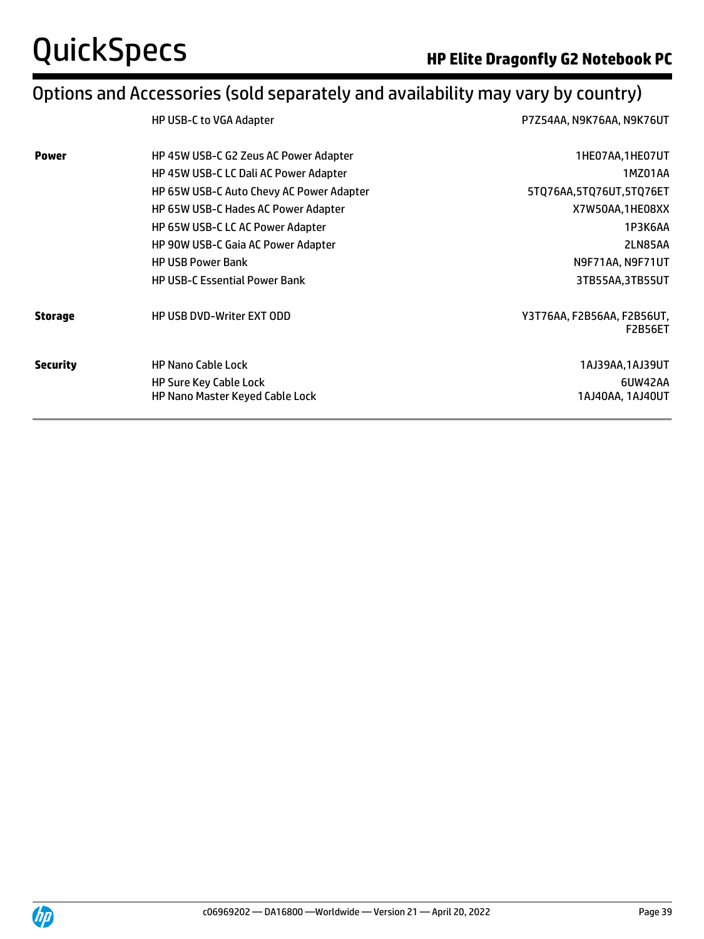## Options and Accessories (sold separately and availability may vary by country)

|                 | HP USB-C to VGA Adapter                  | P7Z54AA, N9K76AA, N9K76UT                    |  |  |
|-----------------|------------------------------------------|----------------------------------------------|--|--|
| <b>Power</b>    | HP 45W USB-C G2 Zeus AC Power Adapter    | 1HE07AA,1HE07UT                              |  |  |
|                 | HP 45W USB-C LC Dali AC Power Adapter    | 1MZ01AA                                      |  |  |
|                 | HP 65W USB-C Auto Chevy AC Power Adapter | 5TQ76AA,5TQ76UT,5TQ76ET                      |  |  |
|                 | HP 65W USB-C Hades AC Power Adapter      | X7W50AA,1HE08XX                              |  |  |
|                 | HP 65W USB-C LC AC Power Adapter         | 1P3K6AA                                      |  |  |
|                 | HP 90W USB-C Gaia AC Power Adapter       | 2LN85AA                                      |  |  |
|                 | <b>HP USB Power Bank</b>                 | N9F71AA, N9F71UT                             |  |  |
|                 | <b>HP USB-C Essential Power Bank</b>     | 3TB55AA,3TB55UT                              |  |  |
| <b>Storage</b>  | <b>HP USB DVD-Writer EXT ODD</b>         | Y3T76AA, F2B56AA, F2B56UT,<br><b>F2B56ET</b> |  |  |
| <b>Security</b> | <b>HP Nano Cable Lock</b>                | 1AJ39AA, 1AJ39UT                             |  |  |
|                 | <b>HP Sure Key Cable Lock</b>            | 6UW42AA                                      |  |  |
|                 | HP Nano Master Keyed Cable Lock          | 1AJ40AA, 1AJ40UT                             |  |  |